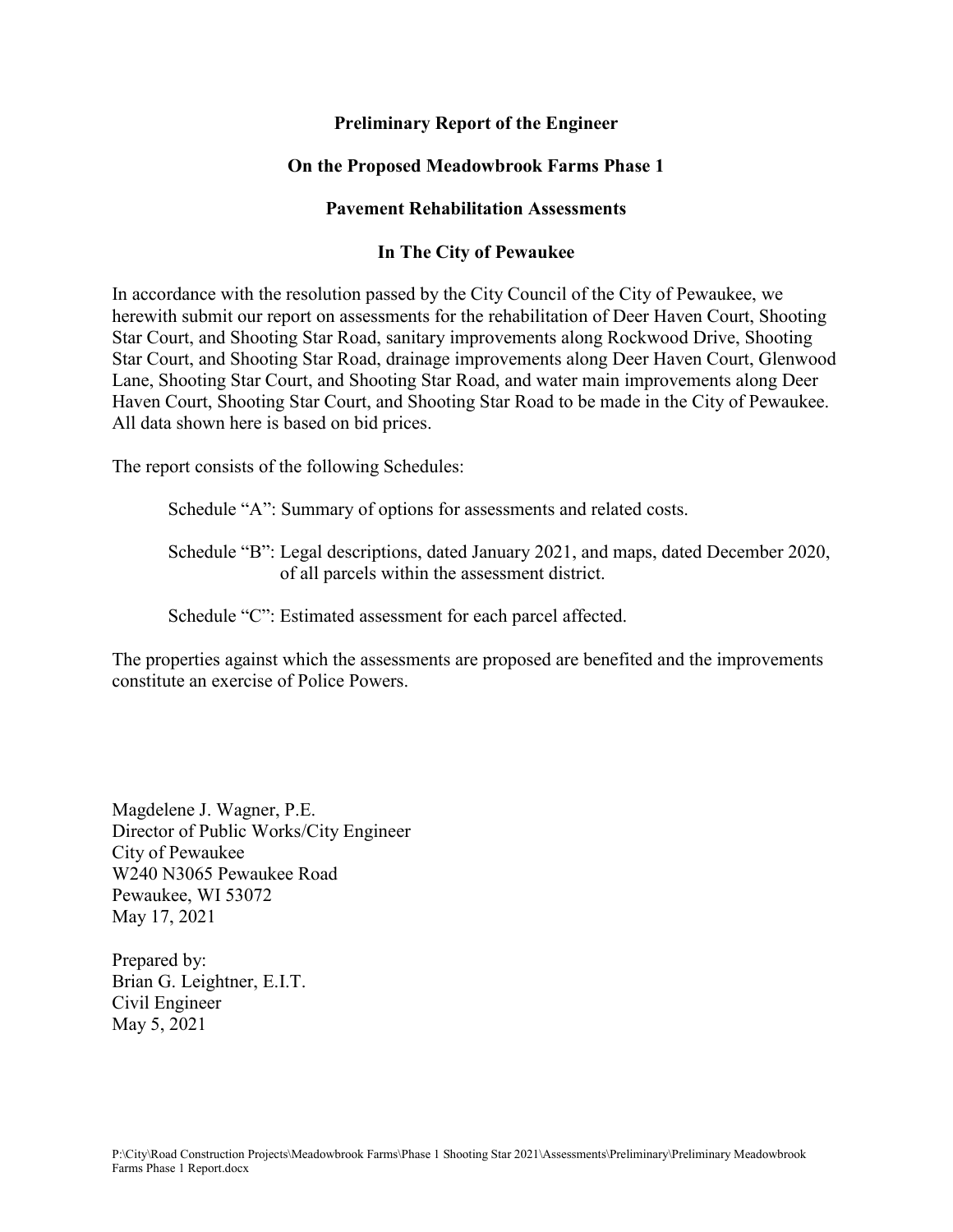# **Preliminary Report of the Engineer**

# **On the Proposed Meadowbrook Farms Phase 1**

## **Pavement Rehabilitation Assessments**

## **In The City of Pewaukee**

In accordance with the resolution passed by the City Council of the City of Pewaukee, we herewith submit our report on assessments for the rehabilitation of Deer Haven Court, Shooting Star Court, and Shooting Star Road, sanitary improvements along Rockwood Drive, Shooting Star Court, and Shooting Star Road, drainage improvements along Deer Haven Court, Glenwood Lane, Shooting Star Court, and Shooting Star Road, and water main improvements along Deer Haven Court, Shooting Star Court, and Shooting Star Road to be made in the City of Pewaukee. All data shown here is based on bid prices.

The report consists of the following Schedules:

Schedule "A": Summary of options for assessments and related costs.

Schedule "B": Legal descriptions, dated January 2021, and maps, dated December 2020, of all parcels within the assessment district.

Schedule "C": Estimated assessment for each parcel affected.

The properties against which the assessments are proposed are benefited and the improvements constitute an exercise of Police Powers.

Magdelene J. Wagner, P.E. Director of Public Works/City Engineer City of Pewaukee W240 N3065 Pewaukee Road Pewaukee, WI 53072 May 17, 2021

Prepared by: Brian G. Leightner, E.I.T. Civil Engineer May 5, 2021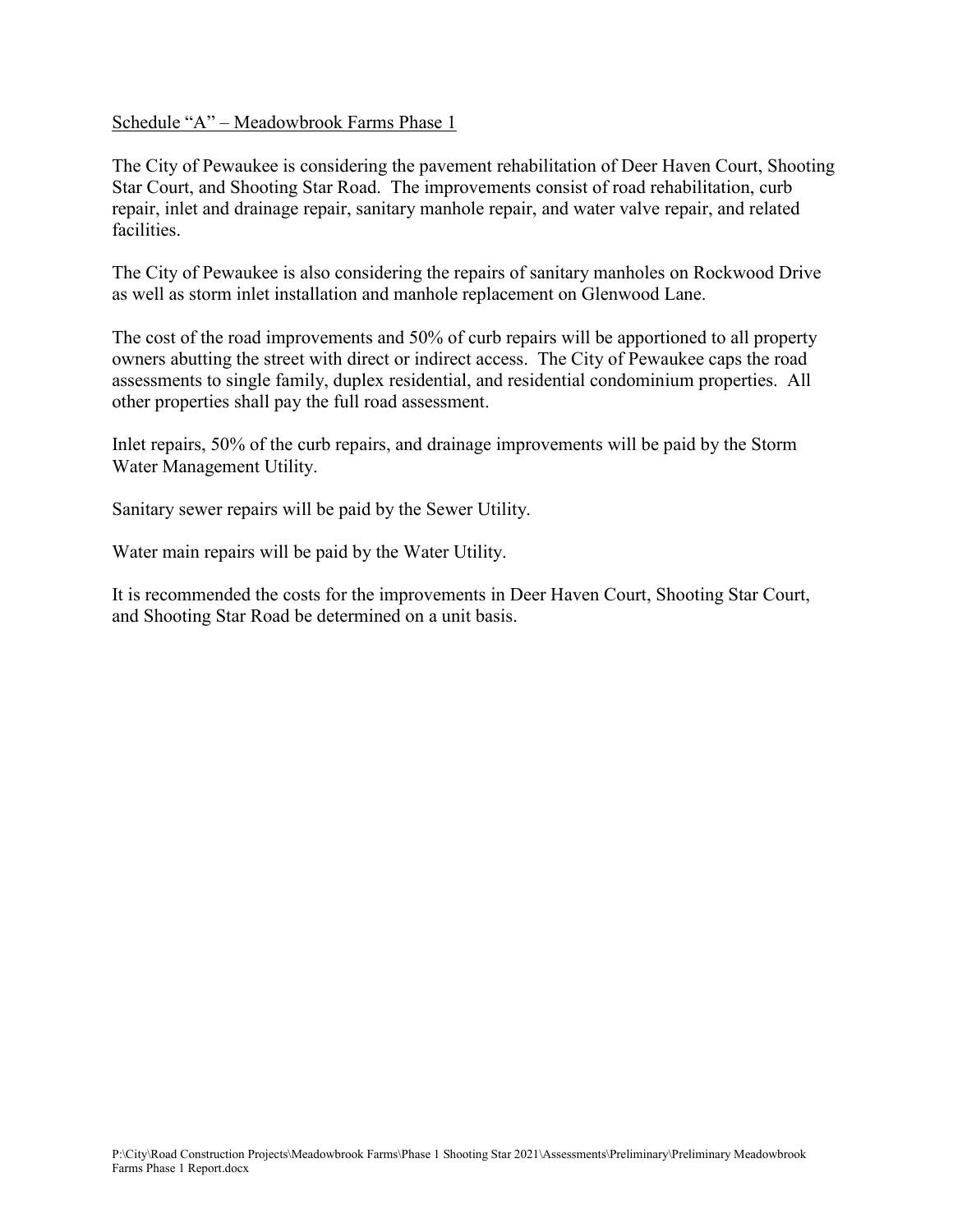## Schedule "A" – Meadowbrook Farms Phase 1

The City of Pewaukee is considering the pavement rehabilitation of Deer Haven Court, Shooting Star Court, and Shooting Star Road. The improvements consist of road rehabilitation, curb repair, inlet and drainage repair, sanitary manhole repair, and water valve repair, and related facilities.

The City of Pewaukee is also considering the repairs of sanitary manholes on Rockwood Drive as well as storm inlet installation and manhole replacement on Glenwood Lane.

The cost of the road improvements and 50% of curb repairs will be apportioned to all property owners abutting the street with direct or indirect access. The City of Pewaukee caps the road assessments to single family, duplex residential, and residential condominium properties. All other properties shall pay the full road assessment.

Inlet repairs, 50% of the curb repairs, and drainage improvements will be paid by the Storm Water Management Utility.

Sanitary sewer repairs will be paid by the Sewer Utility.

Water main repairs will be paid by the Water Utility.

It is recommended the costs for the improvements in Deer Haven Court, Shooting Star Court, and Shooting Star Road be determined on a unit basis.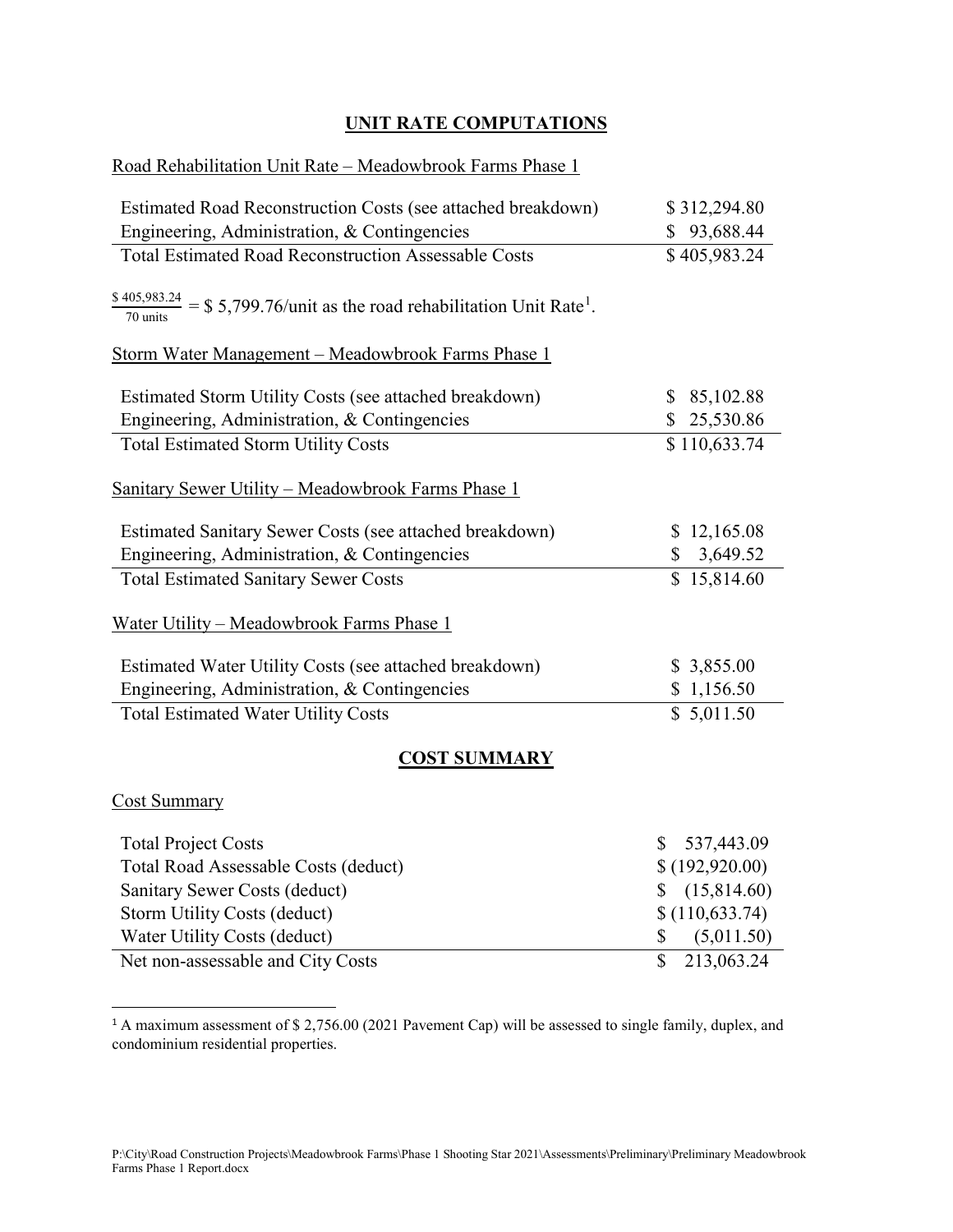# **UNIT RATE COMPUTATIONS**

# Road Rehabilitation Unit Rate – Meadowbrook Farms Phase 1

| Estimated Road Reconstruction Costs (see attached breakdown)                                                  | \$312,294.80      |
|---------------------------------------------------------------------------------------------------------------|-------------------|
| Engineering, Administration, & Contingencies                                                                  | \$93,688.44       |
| <b>Total Estimated Road Reconstruction Assessable Costs</b>                                                   | \$405,983.24      |
| $\frac{$405,983.24}{70 \text{ units}}$ = \$ 5,799.76/unit as the road rehabilitation Unit Rate <sup>1</sup> . |                   |
| Storm Water Management - Meadowbrook Farms Phase 1                                                            |                   |
| Estimated Storm Utility Costs (see attached breakdown)                                                        | \$85,102.88       |
| Engineering, Administration, & Contingencies                                                                  | \$25,530.86       |
| <b>Total Estimated Storm Utility Costs</b>                                                                    | \$110,633.74      |
| Sanitary Sewer Utility - Meadowbrook Farms Phase 1                                                            |                   |
| Estimated Sanitary Sewer Costs (see attached breakdown)                                                       | \$12,165.08       |
| Engineering, Administration, & Contingencies                                                                  | 3,649.52<br>\$    |
| <b>Total Estimated Sanitary Sewer Costs</b>                                                                   | \$15,814.60       |
| Water Utility - Meadowbrook Farms Phase 1                                                                     |                   |
| Estimated Water Utility Costs (see attached breakdown)                                                        | \$3,855.00        |
| Engineering, Administration, & Contingencies                                                                  | \$1,156.50        |
| <b>Total Estimated Water Utility Costs</b>                                                                    | \$5,011.50        |
| <b>COST SUMMARY</b>                                                                                           |                   |
| <b>Cost Summary</b>                                                                                           |                   |
| <b>Total Project Costs</b>                                                                                    | 537,443.09<br>\$  |
| Total Road Assessable Costs (deduct)                                                                          | \$(192,920.00)    |
| Sanitary Sewer Costs (deduct)                                                                                 | (15,814.60)<br>\$ |
| Storm Utility Costs (deduct)                                                                                  | \$(110, 633.74)   |
| Water Utility Costs (deduct)                                                                                  | \$<br>(5,011.50)  |

Net non-assessable and City Costs \$ 213,063.24

<span id="page-2-0"></span><sup>&</sup>lt;sup>1</sup> A maximum assessment of \$ 2,756.00 (2021 Pavement Cap) will be assessed to single family, duplex, and condominium residential properties.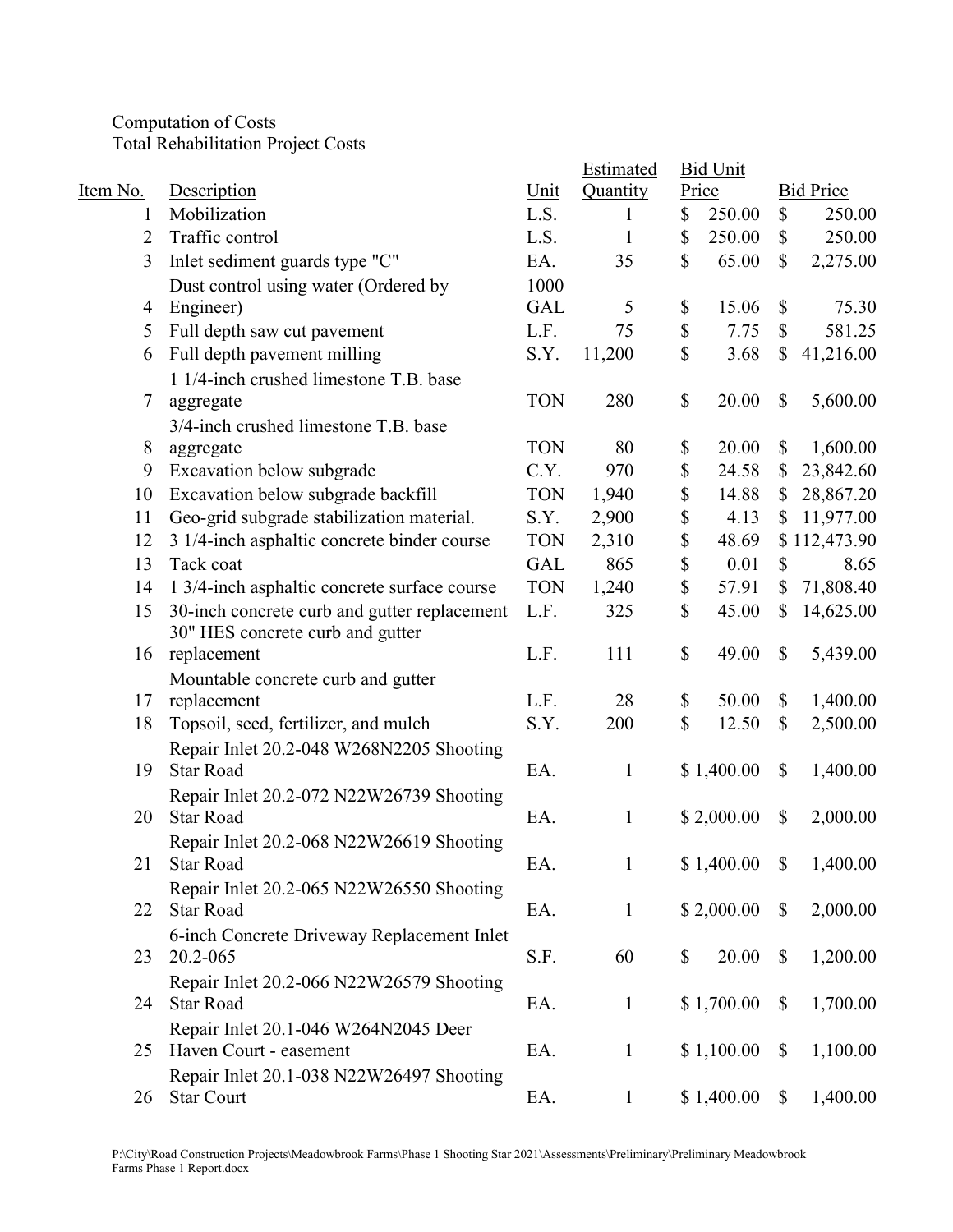Computation of Costs Total Rehabilitation Project Costs

|          |                                              |            | Estimated    | <b>Bid Unit</b> |                           |                  |
|----------|----------------------------------------------|------------|--------------|-----------------|---------------------------|------------------|
| Item No. | Description                                  | Unit       | Quantity     | Price           |                           | <b>Bid Price</b> |
| 1        | Mobilization                                 | L.S.       | 1            | \$<br>250.00    | \$                        | 250.00           |
| 2        | Traffic control                              | L.S.       | $\mathbf{1}$ | \$<br>250.00    | \$                        | 250.00           |
| 3        | Inlet sediment guards type "C"               | EA.        | 35           | \$<br>65.00     | \$                        | 2,275.00         |
|          | Dust control using water (Ordered by         | 1000       |              |                 |                           |                  |
| 4        | Engineer)                                    | <b>GAL</b> | 5            | \$<br>15.06     | \$                        | 75.30            |
| 5        | Full depth saw cut pavement                  | L.F.       | 75           | \$<br>7.75      | \$                        | 581.25           |
| 6        | Full depth pavement milling                  | S.Y.       | 11,200       | \$<br>3.68      | \$                        | 41,216.00        |
|          | 1 1/4-inch crushed limestone T.B. base       |            |              |                 |                           |                  |
| 7        | aggregate                                    | <b>TON</b> | 280          | \$<br>20.00     | $\boldsymbol{\mathsf{S}}$ | 5,600.00         |
|          | 3/4-inch crushed limestone T.B. base         |            |              |                 |                           |                  |
| 8        | aggregate                                    | <b>TON</b> | 80           | \$<br>20.00     | \$                        | 1,600.00         |
| 9        | Excavation below subgrade                    | C.Y.       | 970          | \$<br>24.58     | \$                        | 23,842.60        |
| 10       | Excavation below subgrade backfill           | <b>TON</b> | 1,940        | \$<br>14.88     | \$                        | 28,867.20        |
| 11       | Geo-grid subgrade stabilization material.    | S.Y.       | 2,900        | \$<br>4.13      | \$                        | 11,977.00        |
| 12       | 3 1/4-inch asphaltic concrete binder course  | <b>TON</b> | 2,310        | \$<br>48.69     |                           | \$112,473.90     |
| 13       | Tack coat                                    | <b>GAL</b> | 865          | \$<br>0.01      | \$                        | 8.65             |
| 14       | 1 3/4-inch asphaltic concrete surface course | <b>TON</b> | 1,240        | \$<br>57.91     | \$                        | 71,808.40        |
| 15       | 30-inch concrete curb and gutter replacement | L.F.       | 325          | \$<br>45.00     | \$                        | 14,625.00        |
|          | 30" HES concrete curb and gutter             |            |              |                 |                           |                  |
| 16       | replacement                                  | L.F.       | 111          | \$<br>49.00     | $\boldsymbol{\mathsf{S}}$ | 5,439.00         |
|          | Mountable concrete curb and gutter           |            |              |                 |                           |                  |
| 17       | replacement                                  | L.F.       | 28           | \$<br>50.00     | $\boldsymbol{\mathsf{S}}$ | 1,400.00         |
| 18       | Topsoil, seed, fertilizer, and mulch         | S.Y.       | 200          | \$<br>12.50     | $\boldsymbol{\mathsf{S}}$ | 2,500.00         |
|          | Repair Inlet 20.2-048 W268N2205 Shooting     |            |              |                 |                           |                  |
| 19       | <b>Star Road</b>                             | EA.        | $\mathbf{1}$ | \$1,400.00      | \$                        | 1,400.00         |
|          | Repair Inlet 20.2-072 N22W26739 Shooting     |            |              |                 |                           |                  |
| 20       | <b>Star Road</b>                             | EA.        | $\mathbf{1}$ | \$2,000.00      | $\boldsymbol{\mathsf{S}}$ | 2,000.00         |
|          | Repair Inlet 20.2-068 N22W26619 Shooting     |            |              |                 |                           |                  |
| 21       | <b>Star Road</b>                             | EA.        | $\mathbf{1}$ | \$1,400.00      | $\boldsymbol{\mathsf{S}}$ | 1,400.00         |
|          | Repair Inlet 20.2-065 N22W26550 Shooting     |            |              |                 |                           |                  |
| 22       | <b>Star Road</b>                             | EA.        | 1            | \$2,000.00      | $\mathbb{S}$              | 2,000.00         |
|          | 6-inch Concrete Driveway Replacement Inlet   |            |              |                 |                           |                  |
| 23       | 20.2-065                                     | S.F.       | 60           | \$<br>20.00     | $\mathbb{S}$              | 1,200.00         |
|          | Repair Inlet 20.2-066 N22W26579 Shooting     |            |              |                 |                           |                  |
| 24       | <b>Star Road</b>                             | EA.        | 1            | \$1,700.00      | $\mathbb{S}$              | 1,700.00         |
|          | Repair Inlet 20.1-046 W264N2045 Deer         |            |              |                 |                           |                  |
| 25       | Haven Court - easement                       | EA.        | $\mathbf{1}$ | \$1,100.00      | \$                        | 1,100.00         |
|          | Repair Inlet 20.1-038 N22W26497 Shooting     |            |              |                 |                           |                  |
| 26       | <b>Star Court</b>                            | EA.        | $\mathbf{1}$ | \$1,400.00      | $\mathbb{S}$              | 1,400.00         |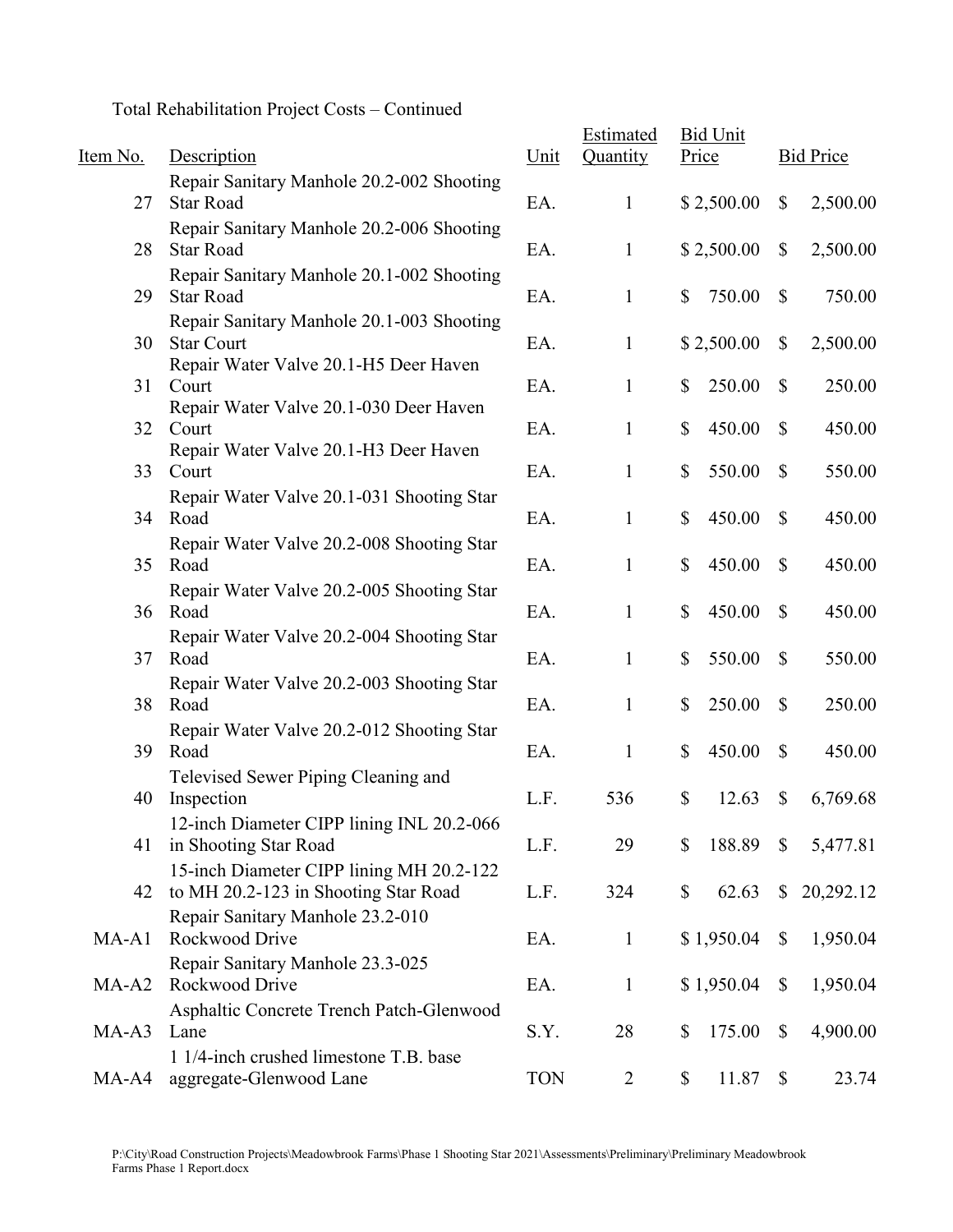Total Rehabilitation Project Costs – Continued

| Item No. | Description                                                                      | Unit       | Estimated<br>Quantity | <b>Bid Unit</b><br>Price |                           | <b>Bid Price</b> |
|----------|----------------------------------------------------------------------------------|------------|-----------------------|--------------------------|---------------------------|------------------|
| 27       | Repair Sanitary Manhole 20.2-002 Shooting<br><b>Star Road</b>                    | EA.        | $\mathbf{1}$          | \$2,500.00               | \$                        | 2,500.00         |
| 28       | Repair Sanitary Manhole 20.2-006 Shooting<br><b>Star Road</b>                    | EA.        | $\mathbf{1}$          | \$2,500.00               | $\boldsymbol{\mathsf{S}}$ | 2,500.00         |
| 29       | Repair Sanitary Manhole 20.1-002 Shooting<br><b>Star Road</b>                    | EA.        | $\mathbf{1}$          | 750.00<br>\$             | $\mathbb{S}$              | 750.00           |
| 30       | Repair Sanitary Manhole 20.1-003 Shooting<br><b>Star Court</b>                   | EA.        | 1                     | \$2,500.00               | $\boldsymbol{\mathsf{S}}$ | 2,500.00         |
| 31       | Repair Water Valve 20.1-H5 Deer Haven<br>Court                                   | EA.        | 1                     | \$<br>250.00             | $\mathbb{S}$              | 250.00           |
| 32       | Repair Water Valve 20.1-030 Deer Haven<br>Court                                  | EA.        | $\mathbf{1}$          | \$<br>450.00             | $\mathbb{S}$              | 450.00           |
| 33       | Repair Water Valve 20.1-H3 Deer Haven<br>Court                                   | EA.        | $\mathbf{1}$          | \$<br>550.00             | $\mathbb{S}$              | 550.00           |
| 34       | Repair Water Valve 20.1-031 Shooting Star<br>Road                                | EA.        | $\mathbf{1}$          | \$<br>450.00             | $\mathbb{S}$              | 450.00           |
| 35       | Repair Water Valve 20.2-008 Shooting Star<br>Road                                | EA.        | $\mathbf{1}$          | \$<br>450.00             | $\mathbb{S}$              | 450.00           |
| 36       | Repair Water Valve 20.2-005 Shooting Star<br>Road                                | EA.        | $\mathbf{1}$          | \$<br>450.00             | $\mathbb{S}$              | 450.00           |
| 37       | Repair Water Valve 20.2-004 Shooting Star<br>Road                                | EA.        | $\mathbf{1}$          | \$<br>550.00             | $\mathbb{S}$              | 550.00           |
| 38       | Repair Water Valve 20.2-003 Shooting Star<br>Road                                | EA.        | $\mathbf{1}$          | \$<br>250.00             | $\mathbb{S}$              | 250.00           |
| 39       | Repair Water Valve 20.2-012 Shooting Star<br>Road                                | EA.        | $\mathbf{1}$          | \$<br>450.00             | $\mathbb{S}$              | 450.00           |
| 40       | Televised Sewer Piping Cleaning and<br>Inspection                                | L.F.       | 536                   | \$<br>12.63              | $\boldsymbol{\mathsf{S}}$ | 6,769.68         |
| 41       | 12-inch Diameter CIPP lining INL 20.2-066<br>in Shooting Star Road               | L.F.       | 29                    | \$<br>188.89             | \$                        | 5,477.81         |
| 42       | 15-inch Diameter CIPP lining MH 20.2-122<br>to MH 20.2-123 in Shooting Star Road | L.F.       | 324                   | \$<br>62.63              | $\mathbb{S}$              | 20,292.12        |
| $MA-A1$  | Repair Sanitary Manhole 23.2-010<br>Rockwood Drive                               | EA.        | $\mathbf{1}$          | \$1,950.04               | \$                        | 1,950.04         |
| $MA-A2$  | Repair Sanitary Manhole 23.3-025<br>Rockwood Drive                               | EA.        | $\mathbf{1}$          | \$1,950.04               | \$                        | 1,950.04         |
| $MA-A3$  | Asphaltic Concrete Trench Patch-Glenwood<br>Lane                                 | S.Y.       | 28                    | \$<br>175.00             | \$                        | 4,900.00         |
| MA-A4    | 1 1/4-inch crushed limestone T.B. base<br>aggregate-Glenwood Lane                | <b>TON</b> | $\overline{2}$        | \$<br>11.87              | $\boldsymbol{\mathsf{S}}$ | 23.74            |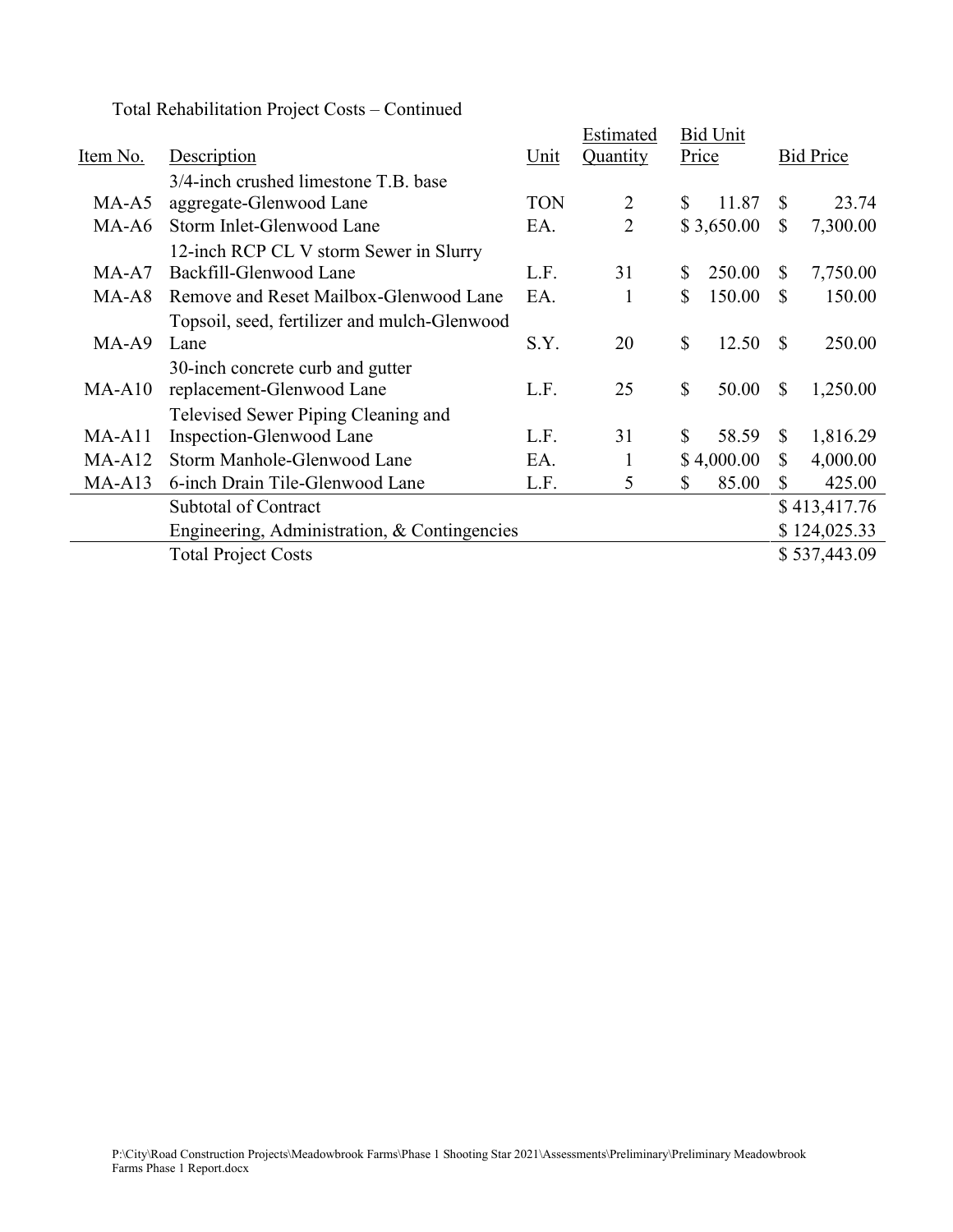Total Rehabilitation Project Costs – Continued

|                                              |            | Estimated                                    |    |        |                                                      |              |
|----------------------------------------------|------------|----------------------------------------------|----|--------|------------------------------------------------------|--------------|
| Description                                  | Unit       | Quantity                                     |    |        | <b>Bid Price</b>                                     |              |
| 3/4-inch crushed limestone T.B. base         |            |                                              |    |        |                                                      |              |
| aggregate-Glenwood Lane                      | <b>TON</b> | 2                                            | \$ | 11.87  | S                                                    | 23.74        |
| Storm Inlet-Glenwood Lane                    | EA.        | 2                                            |    |        | \$                                                   | 7,300.00     |
| 12-inch RCP CL V storm Sewer in Slurry       |            |                                              |    |        |                                                      |              |
| Backfill-Glenwood Lane                       | L.F.       | 31                                           | S  | 250.00 | S                                                    | 7,750.00     |
| Remove and Reset Mailbox-Glenwood Lane       | EA.        |                                              | \$ | 150.00 | \$                                                   | 150.00       |
| Topsoil, seed, fertilizer and mulch-Glenwood |            |                                              |    |        |                                                      |              |
| Lane                                         | S.Y.       | 20                                           | \$ | 12.50  | <sup>\$</sup>                                        | 250.00       |
| 30-inch concrete curb and gutter             |            |                                              |    |        |                                                      |              |
| replacement-Glenwood Lane                    | L.F.       | 25                                           | \$ | 50.00  | S                                                    | 1,250.00     |
| Televised Sewer Piping Cleaning and          |            |                                              |    |        |                                                      |              |
| Inspection-Glenwood Lane                     | L.F.       | 31                                           | \$ | 58.59  | <sup>\$</sup>                                        | 1,816.29     |
| Storm Manhole-Glenwood Lane                  | EA.        |                                              |    |        | S                                                    | 4,000.00     |
| 6-inch Drain Tile-Glenwood Lane              | L.F.       | 5                                            | \$ | 85.00  | $\mathbb{S}$                                         | 425.00       |
| <b>Subtotal of Contract</b>                  |            |                                              |    |        |                                                      | \$413,417.76 |
|                                              |            |                                              |    |        |                                                      | \$124,025.33 |
| <b>Total Project Costs</b>                   |            |                                              |    |        |                                                      | \$537,443.09 |
|                                              |            | Engineering, Administration, & Contingencies |    |        | <b>Bid Unit</b><br>Price<br>\$3,650.00<br>\$4,000.00 |              |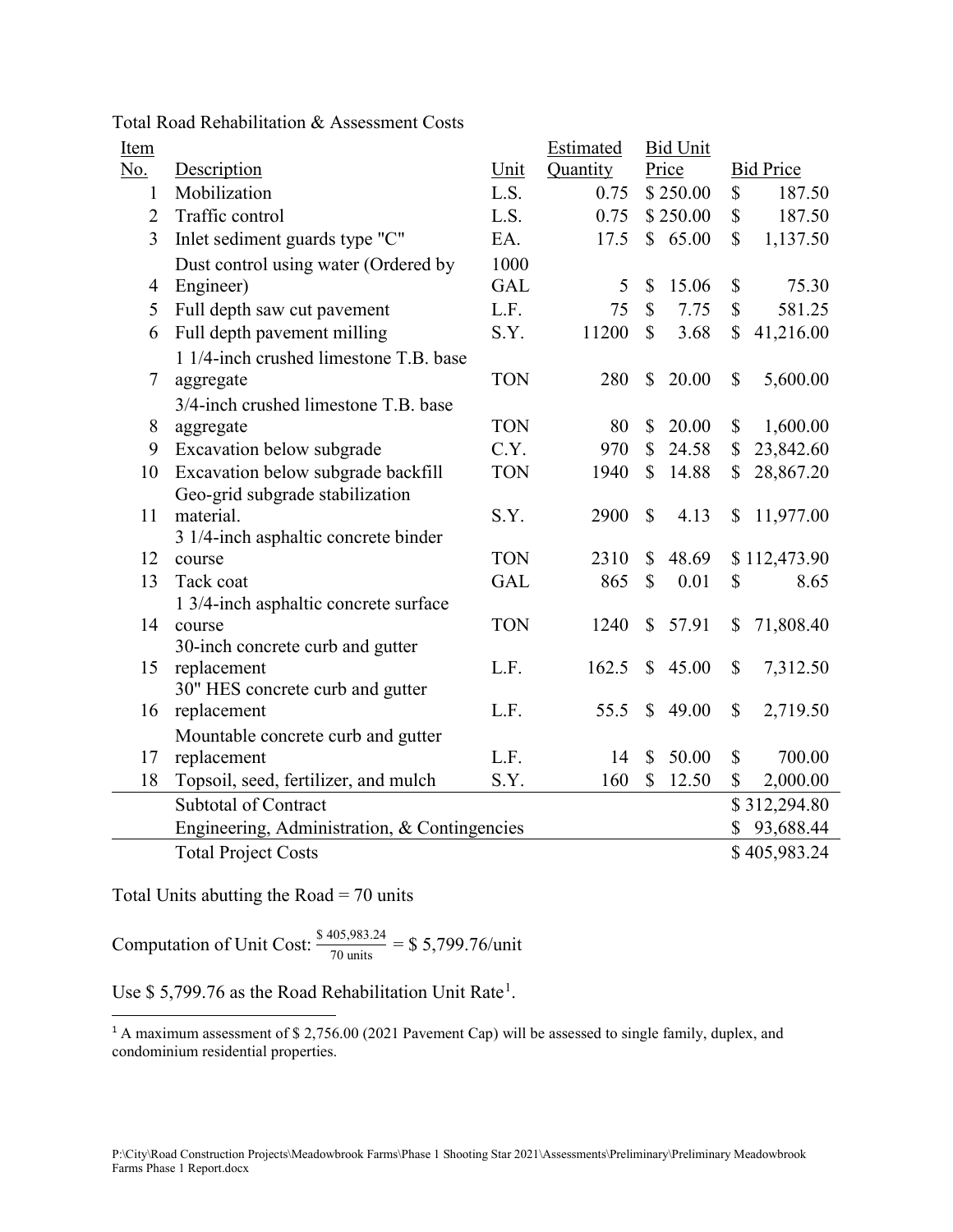| Item           |                                                 |            | Estimated |              | <b>Bid Unit</b> |              |                  |
|----------------|-------------------------------------------------|------------|-----------|--------------|-----------------|--------------|------------------|
| <u>No.</u>     | Description                                     | Unit       | Quantity  |              | Price           |              | <b>Bid Price</b> |
| 1              | Mobilization                                    | L.S.       | 0.75      |              | \$250.00        | \$           | 187.50           |
| $\overline{2}$ | Traffic control                                 | L.S.       | 0.75      |              | \$250.00        | \$           | 187.50           |
| 3              | Inlet sediment guards type "C"                  | EA.        | 17.5      |              | \$65.00         | \$           | 1,137.50         |
|                | Dust control using water (Ordered by            | 1000       |           |              |                 |              |                  |
| $\overline{4}$ | Engineer)                                       | <b>GAL</b> | 5         | $\mathbb{S}$ | 15.06           | \$           | 75.30            |
| 5              | Full depth saw cut pavement                     | L.F.       | 75        | $\mathbb{S}$ | 7.75            | \$           | 581.25           |
| 6              | Full depth pavement milling                     | S.Y.       | 11200     | $\mathbb{S}$ | 3.68            | $\mathbb{S}$ | 41,216.00        |
|                | 1 1/4-inch crushed limestone T.B. base          |            |           |              |                 |              |                  |
| $\tau$         | aggregate                                       | <b>TON</b> | 280       | $\mathbb{S}$ | 20.00           | $\mathbb{S}$ | 5,600.00         |
|                | 3/4-inch crushed limestone T.B. base            |            |           |              |                 |              |                  |
| 8              | aggregate                                       | <b>TON</b> | 80        | \$           | 20.00           | \$           | 1,600.00         |
| 9              | Excavation below subgrade                       | C.Y.       | 970       | $\mathbb{S}$ | 24.58           | $\mathbb{S}$ | 23,842.60        |
| 10             | Excavation below subgrade backfill              | <b>TON</b> | 1940      | $\mathbb{S}$ | 14.88           | $\mathbb{S}$ | 28,867.20        |
|                | Geo-grid subgrade stabilization                 |            |           |              |                 |              |                  |
| 11             | material.                                       | S.Y.       | 2900      | $\mathbb{S}$ | 4.13            | \$           | 11,977.00        |
|                | 3 1/4-inch asphaltic concrete binder            |            |           |              |                 |              |                  |
| 12             | course                                          | <b>TON</b> | 2310      | $\mathbb{S}$ | 48.69           |              | \$112,473.90     |
| 13             | Tack coat                                       | <b>GAL</b> | 865       | \$           | 0.01            | $\mathbb{S}$ | 8.65             |
|                | 1 3/4-inch asphaltic concrete surface           |            |           |              |                 |              |                  |
| 14             | course                                          | <b>TON</b> | 1240      | $\mathbb{S}$ | 57.91           | \$           | 71,808.40        |
| 15             | 30-inch concrete curb and gutter<br>replacement | L.F.       | 162.5     | $\mathbb{S}$ | 45.00           | \$           | 7,312.50         |
|                | 30" HES concrete curb and gutter                |            |           |              |                 |              |                  |
| 16             | replacement                                     | L.F.       | 55.5      | $\mathbb{S}$ | 49.00           | \$           | 2,719.50         |
|                | Mountable concrete curb and gutter              |            |           |              |                 |              |                  |
| 17             | replacement                                     | L.F.       | 14        | \$           | 50.00           | $\mathbb{S}$ | 700.00           |
| 18             | Topsoil, seed, fertilizer, and mulch            | S.Y.       | 160       | $\mathbb{S}$ | 12.50           | \$           | 2,000.00         |
|                | Subtotal of Contract                            |            |           |              |                 |              | \$312,294.80     |
|                | Engineering, Administration, & Contingencies    |            |           |              |                 | \$           | 93,688.44        |
|                | <b>Total Project Costs</b>                      |            |           |              |                 |              | \$405,983.24     |
|                |                                                 |            |           |              |                 |              |                  |

Total Road Rehabilitation & Assessment Costs

Total Units abutting the Road  $= 70$  units

Computation of Unit Cost:  $\frac{$405,983.24}{70 \text{ units}} = $5,799.76/\text{unit}$ 

Use \$5,799.76 as the Road Rehabilitation Unit Rate<sup>[1](#page-6-0)</sup>.

<span id="page-6-0"></span><sup>1</sup> A maximum assessment of \$2,756.00 (2021 Pavement Cap) will be assessed to single family, duplex, and condominium residential properties.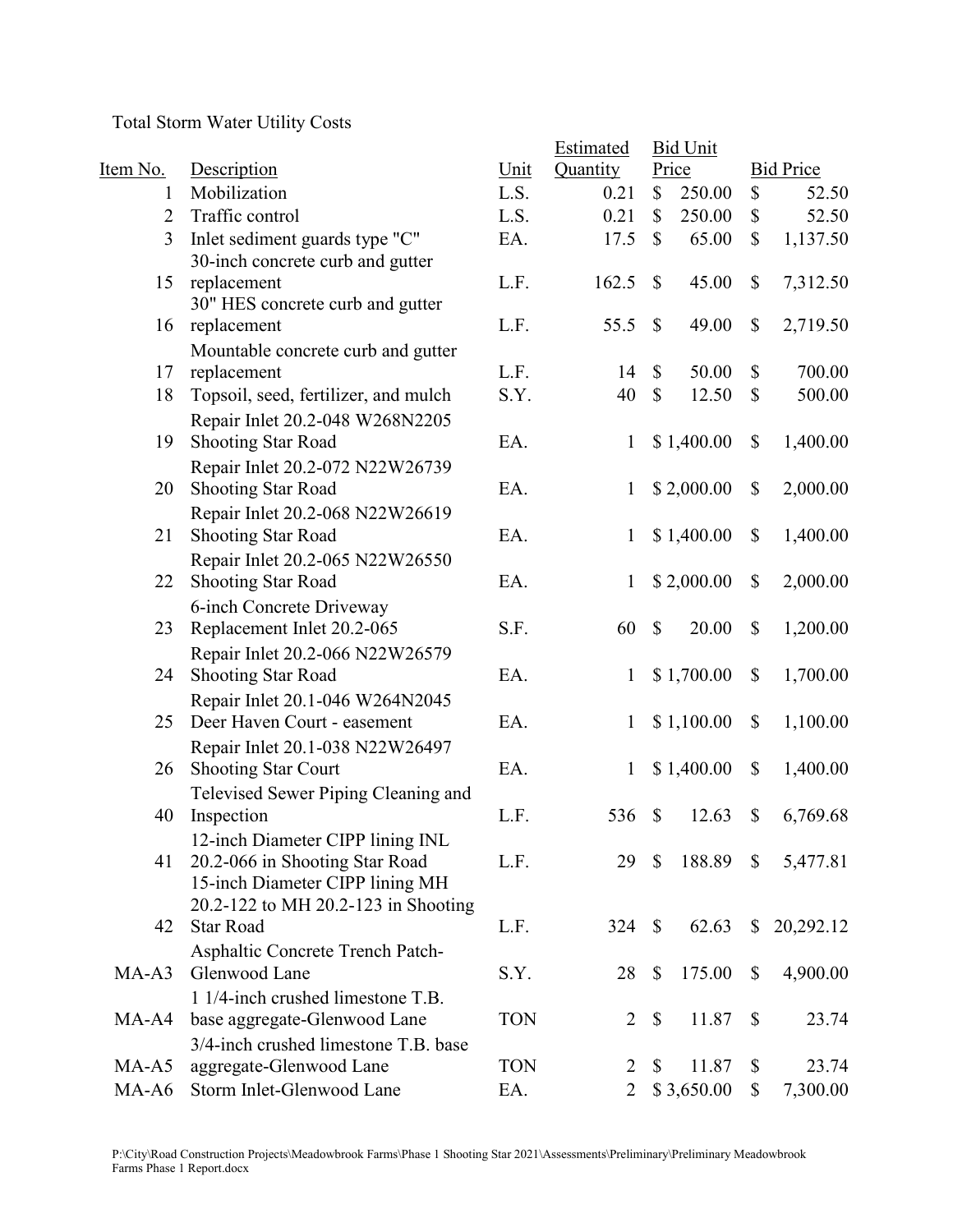Total Storm Water Utility Costs

|                |                                      |            | Estimated      |                           | <b>Bid Unit</b> |                           |                  |
|----------------|--------------------------------------|------------|----------------|---------------------------|-----------------|---------------------------|------------------|
| Item No.       | Description                          | Unit       | Quantity       |                           | Price           |                           | <b>Bid Price</b> |
| 1              | Mobilization                         | L.S.       | 0.21           | \$                        | 250.00          | \$                        | 52.50            |
| $\overline{2}$ | Traffic control                      | L.S.       | 0.21           | \$                        | 250.00          | \$                        | 52.50            |
| 3              | Inlet sediment guards type "C"       | EA.        | 17.5           | $\mathbb{S}$              | 65.00           | $\mathbb{S}$              | 1,137.50         |
|                | 30-inch concrete curb and gutter     |            |                |                           |                 |                           |                  |
| 15             | replacement                          | L.F.       | 162.5          | $\mathbb{S}$              | 45.00           | \$                        | 7,312.50         |
|                | 30" HES concrete curb and gutter     |            |                |                           |                 |                           |                  |
| 16             | replacement                          | L.F.       | 55.5           | $\mathbb{S}$              | 49.00           | \$                        | 2,719.50         |
|                | Mountable concrete curb and gutter   |            |                |                           |                 |                           |                  |
| 17             | replacement                          | L.F.       | 14             | $\mathbb{S}$              | 50.00           | \$                        | 700.00           |
| 18             | Topsoil, seed, fertilizer, and mulch | S.Y.       | 40             | $\mathbb{S}$              | 12.50           | $\mathbb{S}$              | 500.00           |
|                | Repair Inlet 20.2-048 W268N2205      |            |                |                           |                 |                           |                  |
| 19             | <b>Shooting Star Road</b>            | EA.        | $\mathbf{1}$   |                           | \$1,400.00      | \$                        | 1,400.00         |
|                | Repair Inlet 20.2-072 N22W26739      |            |                |                           |                 |                           |                  |
| 20             | <b>Shooting Star Road</b>            | EA.        | 1              |                           | \$2,000.00      | \$                        | 2,000.00         |
|                | Repair Inlet 20.2-068 N22W26619      |            |                |                           |                 |                           |                  |
| 21             | <b>Shooting Star Road</b>            | EA.        | $\mathbf{1}$   |                           | \$1,400.00      | \$                        | 1,400.00         |
|                | Repair Inlet 20.2-065 N22W26550      |            |                |                           |                 |                           |                  |
| 22             | Shooting Star Road                   | EA.        | 1              |                           | \$2,000.00      | \$                        | 2,000.00         |
|                | 6-inch Concrete Driveway             |            |                |                           |                 |                           |                  |
| 23             | Replacement Inlet 20.2-065           | S.F.       | 60             | $\mathbb{S}$              | 20.00           | $\boldsymbol{\mathsf{S}}$ | 1,200.00         |
|                | Repair Inlet 20.2-066 N22W26579      |            |                |                           |                 |                           |                  |
| 24             | <b>Shooting Star Road</b>            | EA.        | $\mathbf{1}$   |                           | \$1,700.00      | \$                        | 1,700.00         |
|                | Repair Inlet 20.1-046 W264N2045      |            |                |                           |                 |                           |                  |
| 25             | Deer Haven Court - easement          | EA.        | $\mathbf{1}$   |                           | \$1,100.00      | \$                        | 1,100.00         |
|                | Repair Inlet 20.1-038 N22W26497      |            |                |                           |                 |                           |                  |
| 26             | <b>Shooting Star Court</b>           | EA.        | $\mathbf{1}$   |                           | \$1,400.00      | \$                        | 1,400.00         |
|                | Televised Sewer Piping Cleaning and  |            |                |                           |                 |                           |                  |
| 40             | Inspection                           | L.F.       | 536            | $\mathbb{S}$              | 12.63           | \$                        | 6,769.68         |
|                | 12-inch Diameter CIPP lining INL     |            |                |                           |                 |                           |                  |
| 41             | 20.2-066 in Shooting Star Road       | L.F.       | 29             | $\mathbb{S}$              | 188.89          | $\mathbb{S}$              | 5,477.81         |
|                | 15-inch Diameter CIPP lining MH      |            |                |                           |                 |                           |                  |
|                | 20.2-122 to MH 20.2-123 in Shooting  |            |                |                           |                 |                           |                  |
| 42             | <b>Star Road</b>                     | L.F.       | 324 \$         |                           | 62.63           | $\mathbb{S}$              | 20,292.12        |
|                | Asphaltic Concrete Trench Patch-     |            |                |                           |                 |                           |                  |
| $MA-A3$        | Glenwood Lane                        | S.Y.       | 28             | $\mathbb{S}$              | 175.00          | \$                        | 4,900.00         |
|                | 1 1/4-inch crushed limestone T.B.    |            |                |                           |                 |                           |                  |
| MA-A4          | base aggregate-Glenwood Lane         | <b>TON</b> | $\overline{2}$ | $\boldsymbol{\mathsf{S}}$ | 11.87           | $\boldsymbol{\mathsf{S}}$ | 23.74            |
|                | 3/4-inch crushed limestone T.B. base |            |                |                           |                 |                           |                  |
| MA-A5          | aggregate-Glenwood Lane              | <b>TON</b> | 2              | $\mathbb{S}$              | 11.87           | \$                        | 23.74            |
| MA-A6          | Storm Inlet-Glenwood Lane            | EA.        | $\overline{2}$ |                           | \$3,650.00      | \$                        | 7,300.00         |
|                |                                      |            |                |                           |                 |                           |                  |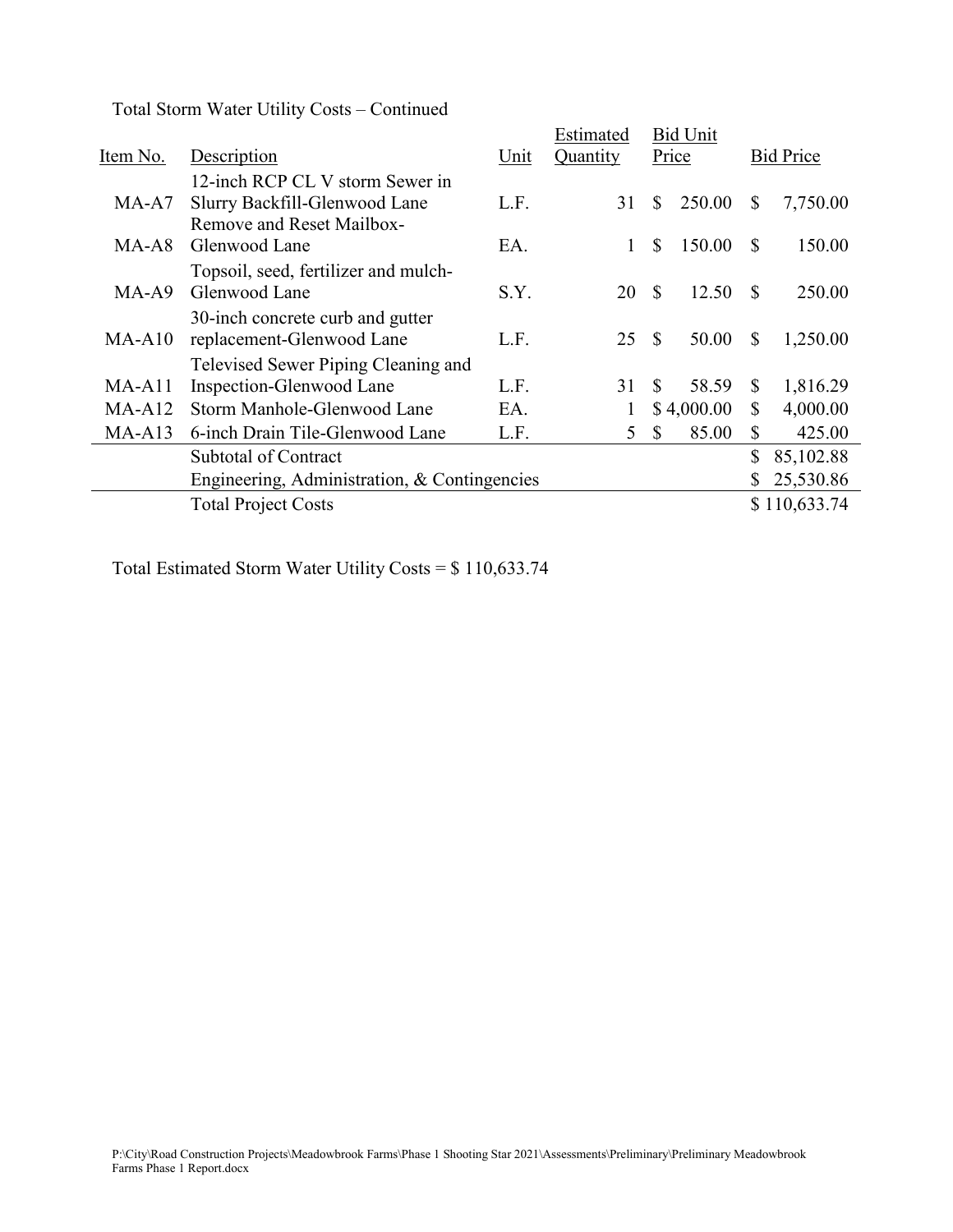| Total Storm Water Utility Costs – Continued |  |  |  |  |
|---------------------------------------------|--|--|--|--|
|---------------------------------------------|--|--|--|--|

|          |                                              | Estimated |              | <b>Bid Unit</b> |            |               |                  |  |
|----------|----------------------------------------------|-----------|--------------|-----------------|------------|---------------|------------------|--|
| Item No. | Description                                  | Unit      | Quantity     | Price           |            |               | <b>Bid Price</b> |  |
|          | 12-inch RCP CL V storm Sewer in              |           |              |                 |            |               |                  |  |
| MA-A7    | Slurry Backfill-Glenwood Lane                | L.F.      | 31           | \$              | 250.00     | \$            | 7,750.00         |  |
|          | Remove and Reset Mailbox-                    |           |              |                 |            |               |                  |  |
| MA-A8    | Glenwood Lane                                | EA.       | $\mathbf{1}$ | \$              | 150.00     | <sup>\$</sup> | 150.00           |  |
|          | Topsoil, seed, fertilizer and mulch-         |           |              |                 |            |               |                  |  |
| $MA-A9$  | Glenwood Lane                                | S.Y.      | 20           | <sup>\$</sup>   | 12.50      | S             | 250.00           |  |
|          | 30-inch concrete curb and gutter             |           |              |                 |            |               |                  |  |
| MA-A10   | replacement-Glenwood Lane                    | L.F.      | 25           | <sup>\$</sup>   | 50.00      | S             | 1,250.00         |  |
|          | Televised Sewer Piping Cleaning and          |           |              |                 |            |               |                  |  |
| $MA-A11$ | Inspection-Glenwood Lane                     | L.F.      | 31           | <sup>S</sup>    | 58.59      | $\mathbb{S}$  | 1,816.29         |  |
| $MA-A12$ | Storm Manhole-Glenwood Lane                  | EA.       |              |                 | \$4,000.00 | \$            | 4,000.00         |  |
| $MA-A13$ | 6-inch Drain Tile-Glenwood Lane              | L.F.      | 5            | $\mathbb{S}$    | 85.00      | \$            | 425.00           |  |
|          | <b>Subtotal of Contract</b>                  |           |              |                 |            | \$            | 85,102.88        |  |
|          | Engineering, Administration, & Contingencies |           |              |                 |            | \$            | 25,530.86        |  |
|          | <b>Total Project Costs</b>                   |           |              |                 |            |               | \$110,633.74     |  |

Total Estimated Storm Water Utility Costs = \$ 110,633.74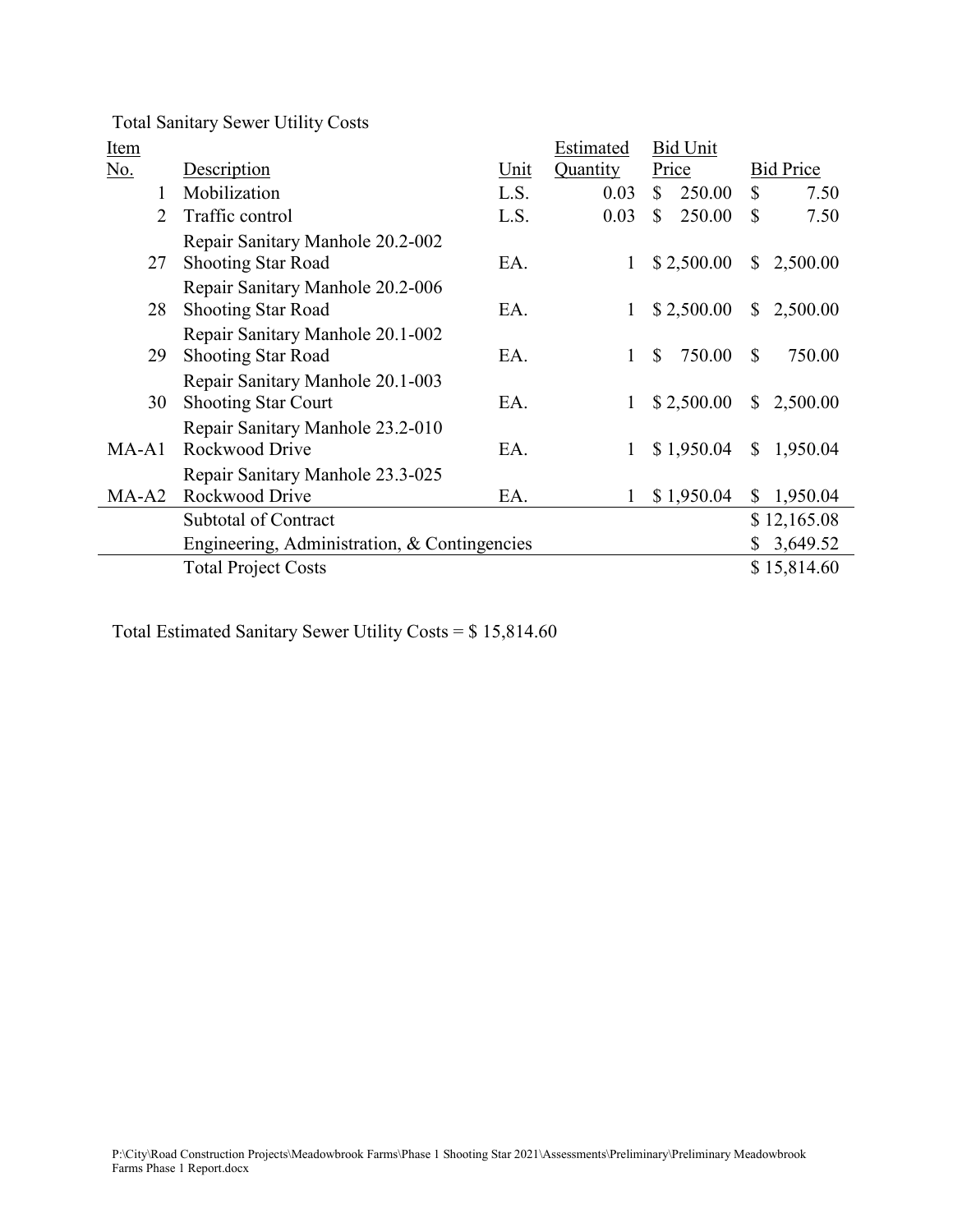Total Sanitary Sewer Utility Costs

| <b>Item</b> |                                              |      | Estimated | <b>Bid Unit</b>        |                          |
|-------------|----------------------------------------------|------|-----------|------------------------|--------------------------|
| No.         | Description                                  | Unit | Quantity  | Price                  | <b>Bid Price</b>         |
|             | Mobilization                                 | L.S. | 0.03      | $\mathbb{S}$<br>250.00 | \$<br>7.50               |
| 2           | Traffic control                              | L.S. | 0.03      | 250.00<br>\$           | $\mathbb{S}$<br>7.50     |
|             | Repair Sanitary Manhole 20.2-002             |      |           |                        |                          |
| 27          | <b>Shooting Star Road</b>                    | EA.  | 1         | \$2,500.00             | $\mathbb{S}$<br>2,500.00 |
|             | Repair Sanitary Manhole 20.2-006             |      |           |                        |                          |
| 28          | <b>Shooting Star Road</b>                    | EA.  | 1         | \$2,500.00             | $\mathbb{S}$<br>2,500.00 |
|             | Repair Sanitary Manhole 20.1-002             |      |           |                        |                          |
| 29          | <b>Shooting Star Road</b>                    | EA.  | 1         | \$<br>750.00           | $\mathbb{S}$<br>750.00   |
|             | Repair Sanitary Manhole 20.1-003             |      |           |                        |                          |
| 30          | <b>Shooting Star Court</b>                   | EA.  | 1         | \$2,500.00             | $\mathbb{S}$<br>2,500.00 |
|             | Repair Sanitary Manhole 23.2-010             |      |           |                        |                          |
| $MA-A1$     | Rockwood Drive                               | EA.  | 1         | \$1,950.04             | 1,950.04<br>$\mathbb{S}$ |
|             | Repair Sanitary Manhole 23.3-025             |      |           |                        |                          |
| $MA-A2$     | Rockwood Drive                               | EA.  | 1         | \$1,950.04             | 1,950.04<br>$\mathbb{S}$ |
|             | <b>Subtotal of Contract</b>                  |      |           |                        | \$12,165.08              |
|             | Engineering, Administration, & Contingencies |      |           |                        | 3,649.52<br>\$           |
|             | <b>Total Project Costs</b>                   |      |           |                        | \$15,814.60              |

Total Estimated Sanitary Sewer Utility Costs = \$ 15,814.60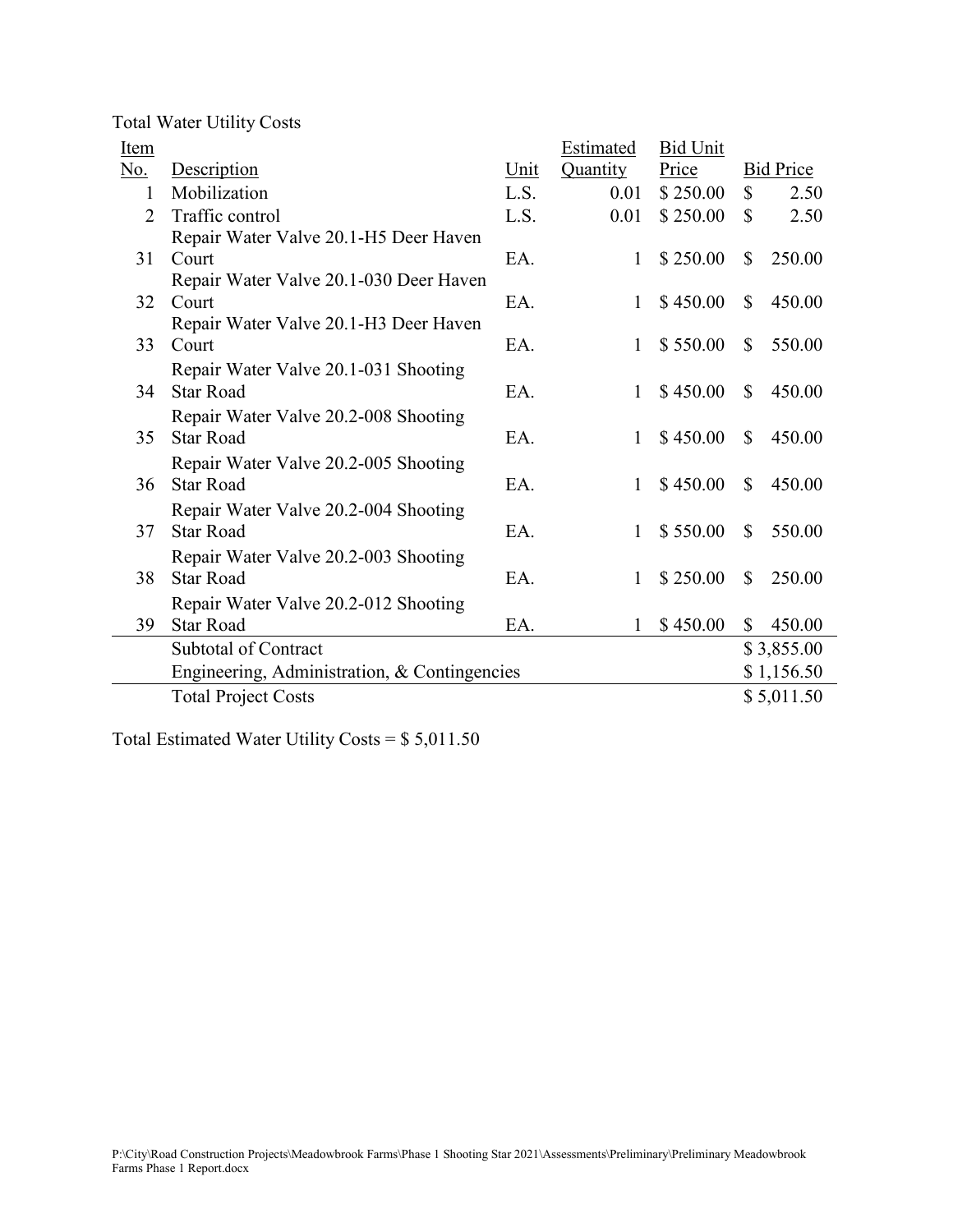|  |  | <b>Total Water Utility Costs</b> |  |
|--|--|----------------------------------|--|
|--|--|----------------------------------|--|

| <b>Item</b> |                                              |      | Estimated    | <b>Bid Unit</b> |               |                  |
|-------------|----------------------------------------------|------|--------------|-----------------|---------------|------------------|
| No.         | Description                                  | Unit | Quantity     | Price           |               | <b>Bid Price</b> |
| 1           | Mobilization                                 | L.S. | 0.01         | \$250.00        | $\mathbb{S}$  | 2.50             |
| 2           | Traffic control                              | L.S. | 0.01         | \$250.00        | $\mathbb{S}$  | 2.50             |
|             | Repair Water Valve 20.1-H5 Deer Haven        |      |              |                 |               |                  |
| 31          | Court                                        | EA.  | 1            | \$250.00        | \$            | 250.00           |
|             | Repair Water Valve 20.1-030 Deer Haven       |      |              |                 |               |                  |
| 32          | Court                                        | EA.  | 1            | \$450.00        | $\mathbb{S}$  | 450.00           |
|             | Repair Water Valve 20.1-H3 Deer Haven        |      |              |                 |               |                  |
| 33          | Court                                        | EA.  | $\mathbf{1}$ | \$550.00        | $\mathbb{S}$  | 550.00           |
|             | Repair Water Valve 20.1-031 Shooting         |      |              |                 |               |                  |
| 34          | <b>Star Road</b>                             | EA.  | $\mathbf{1}$ | \$450.00        | $\mathbb{S}$  | 450.00           |
|             | Repair Water Valve 20.2-008 Shooting         |      |              |                 |               |                  |
| 35          | <b>Star Road</b>                             | EA.  | $\mathbf{1}$ | \$450.00        | $\mathbb{S}$  | 450.00           |
|             | Repair Water Valve 20.2-005 Shooting         |      |              |                 |               |                  |
| 36          | <b>Star Road</b>                             | EA.  | $\mathbf{1}$ | \$450.00        | <sup>\$</sup> | 450.00           |
|             | Repair Water Valve 20.2-004 Shooting         |      |              |                 |               |                  |
| 37          | <b>Star Road</b>                             | EA.  | 1            | \$550.00        | $\mathbb{S}$  | 550.00           |
|             | Repair Water Valve 20.2-003 Shooting         |      |              |                 |               |                  |
| 38          | <b>Star Road</b>                             | EA.  | 1            | \$250.00        | $\mathbb{S}$  | 250.00           |
|             | Repair Water Valve 20.2-012 Shooting         |      |              |                 |               |                  |
| 39          | <b>Star Road</b>                             | EA.  | 1            | \$450.00        | \$            | 450.00           |
|             | <b>Subtotal of Contract</b>                  |      |              |                 |               | \$3,855.00       |
|             |                                              |      |              |                 |               |                  |
|             | Engineering, Administration, & Contingencies |      |              |                 |               | \$1,156.50       |
|             | <b>Total Project Costs</b>                   |      |              |                 |               | \$5,011.50       |

Total Estimated Water Utility Costs = \$ 5,011.50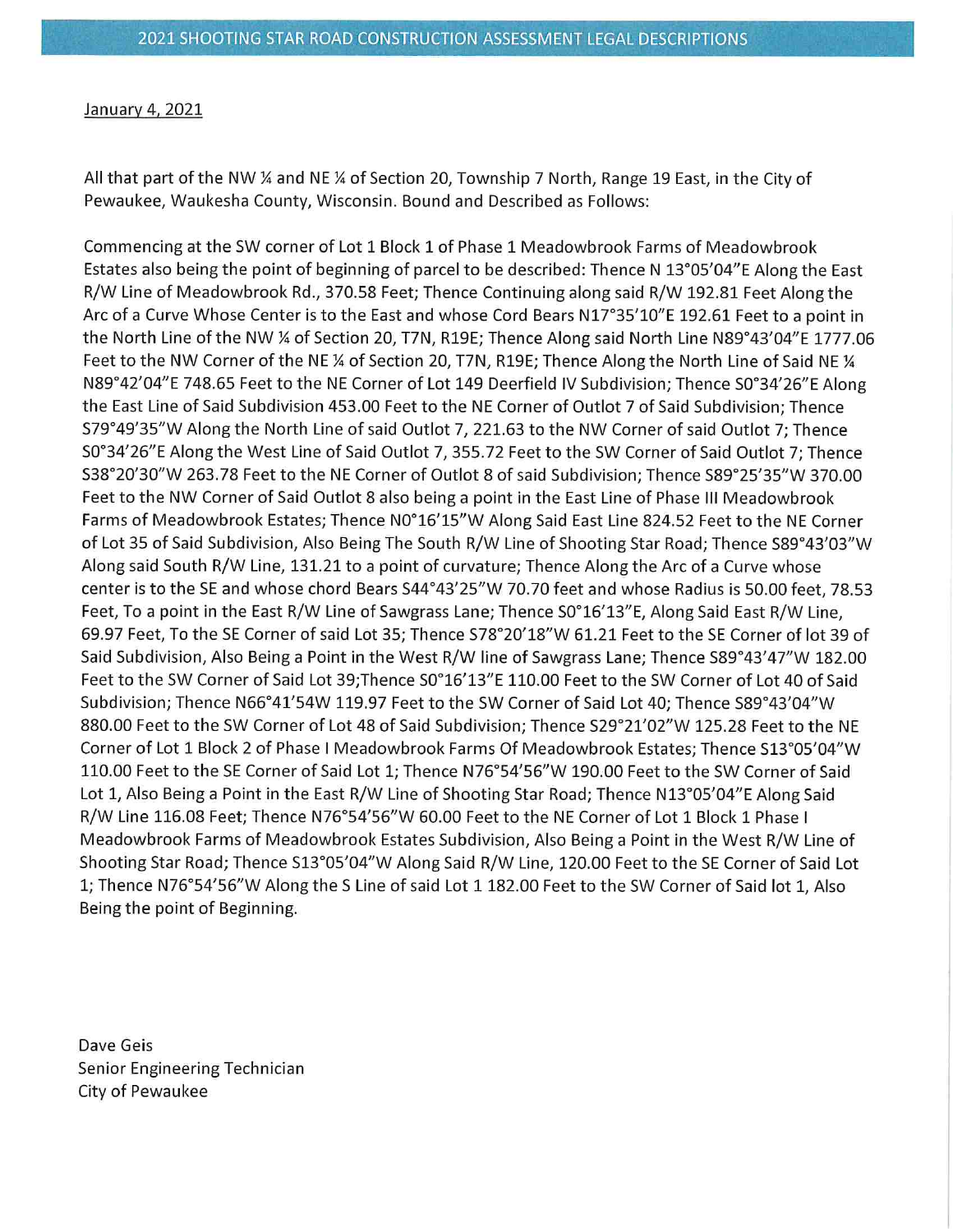## January 4, 2021

All that part of the NW ¼ and NE ¼ of Section 20, Township 7 North, Range 19 East, in the City of Pewaukee, Waukesha County, Wisconsin. Bound and Described as Follows:

Commencing at the SW corner of Lot 1 Block 1 of Phase 1 Meadowbrook Farms of Meadowbrook Estates also being the point of beginning of parcel to be described: Thence N 13°05'04"E Along the East R/W Line of Meadowbrook Rd., 370.58 Feet; Thence Continuing along said R/W 192.81 Feet Along the Arc of a Curve Whose Center is to the East and whose Cord Bears N17°35'10"E 192.61 Feet to a point in the North Line of the NW ¼ of Section 20, T7N, R19E; Thence Along said North Line N89°43'04"E 1777.06 Feet to the NW Corner of the NE  $\%$  of Section 20, T7N, R19E; Thence Along the North Line of Said NE  $\%$ N89°42'04"E 748.65 Feet to the NE Corner of Lot 149 Deerfield IV Subdivision; Thence S0°34'26"E Along the East Line of Said Subdivision 453.00 Feet to the NE Corner of Outlot 7 of Said Subdivision; Thence S79°49'35"W Along the North Line of said Outlot 7, 221.63 to the NW Corner of said Outlot 7; Thence S0°34'26"E Along the West Line of Said Outlot 7, 355.72 Feet to the SW Corner of Said Outlot 7; Thence S38°20'30"W 263.78 Feet to the NE Corner of Outlot 8 of said Subdivision; Thence S89°25'35"W 370.00 Feet to the NW Corner of Said Outlot 8 also being a point in the East Line of Phase III Meadowbrook Farms of Meadowbrook Estates; Thence N0°16'15"W Along Said East Line 824.52 Feet to the NE Corner of Lot 35 of Said Subdivision, Also Being The South R/W Line of Shooting Star Road; Thence S89°43'03"W Along said South R/W Line, 131.21 to a point of curvature; Thence Along the Arc of a Curve whose center is to the SE and whose chord Bears S44°43'25"W 70.70 feet and whose Radius is 50.00 feet, 78.53 Feet, To a point in the East R/W Line of Sawgrass Lane; Thence S0°16'13"E, Along Said East R/W Line, 69.97 Feet, To the SE Corner of said Lot 35; Thence S78°20'18"W 61.21 Feet to the SE Corner of lot 39 of Said Subdivision, Also Being a Point in the West R/W line of Sawgrass Lane; Thence S89°43'47"W 182.00 Feet to the SW Corner of Said Lot 39; Thence S0°16'13"E 110.00 Feet to the SW Corner of Lot 40 of Said Subdivision; Thence N66°41'54W 119.97 Feet to the SW Corner of Said Lot 40; Thence S89°43'04"W 880.00 Feet to the SW Corner of Lot 48 of Said Subdivision; Thence S29°21'02"W 125.28 Feet to the NE Corner of Lot 1 Block 2 of Phase I Meadowbrook Farms Of Meadowbrook Estates; Thence S13°05'04"W 110.00 Feet to the SE Corner of Said Lot 1; Thence N76°54'56"W 190.00 Feet to the SW Corner of Said Lot 1, Also Being a Point in the East R/W Line of Shooting Star Road; Thence N13°05'04"E Along Said R/W Line 116.08 Feet; Thence N76°54'56"W 60.00 Feet to the NE Corner of Lot 1 Block 1 Phase I Meadowbrook Farms of Meadowbrook Estates Subdivision, Also Being a Point in the West R/W Line of Shooting Star Road; Thence S13°05'04"W Along Said R/W Line, 120.00 Feet to the SE Corner of Said Lot 1; Thence N76°54'56"W Along the S Line of said Lot 1 182.00 Feet to the SW Corner of Said lot 1, Also Being the point of Beginning.

Dave Geis Senior Engineering Technician City of Pewaukee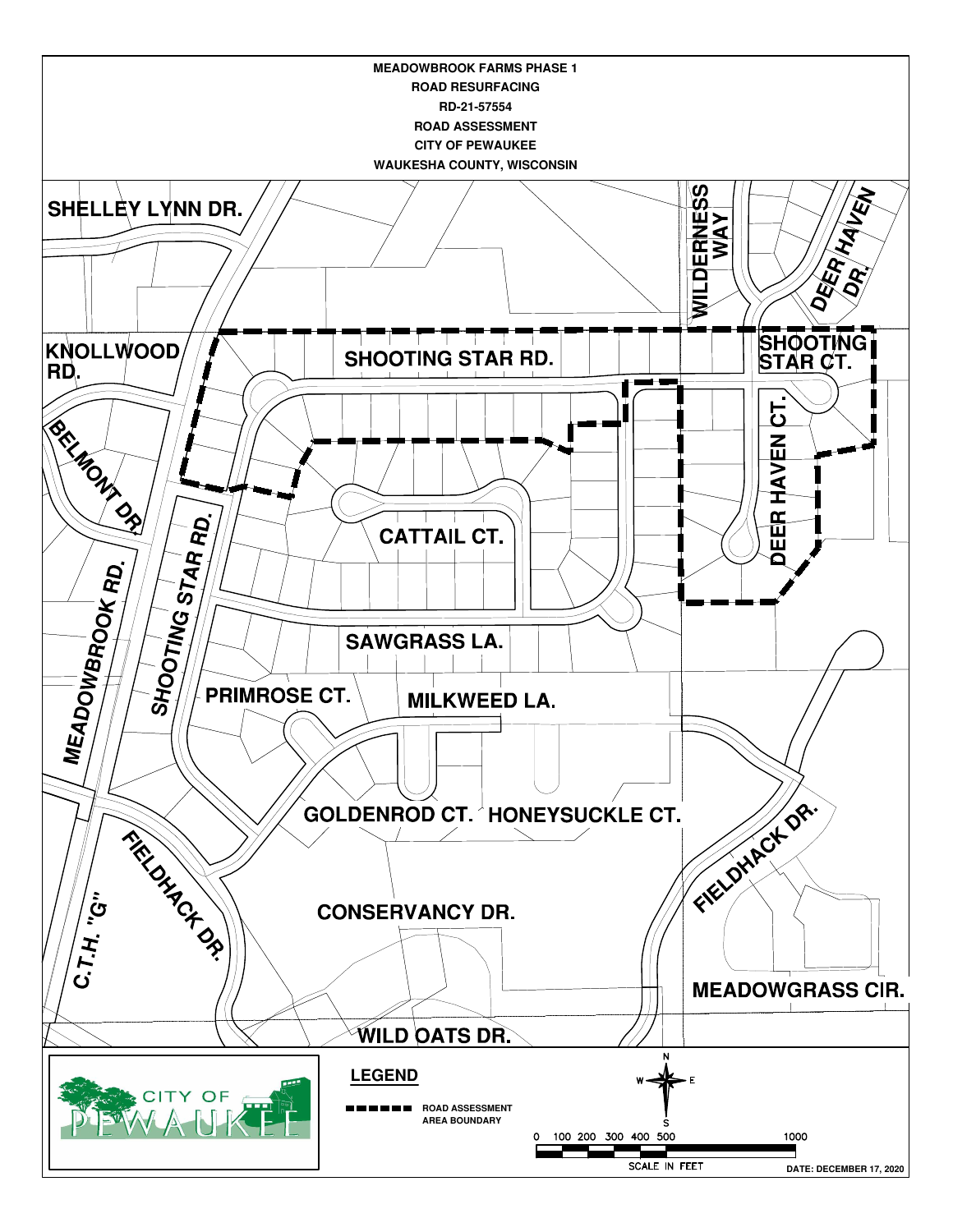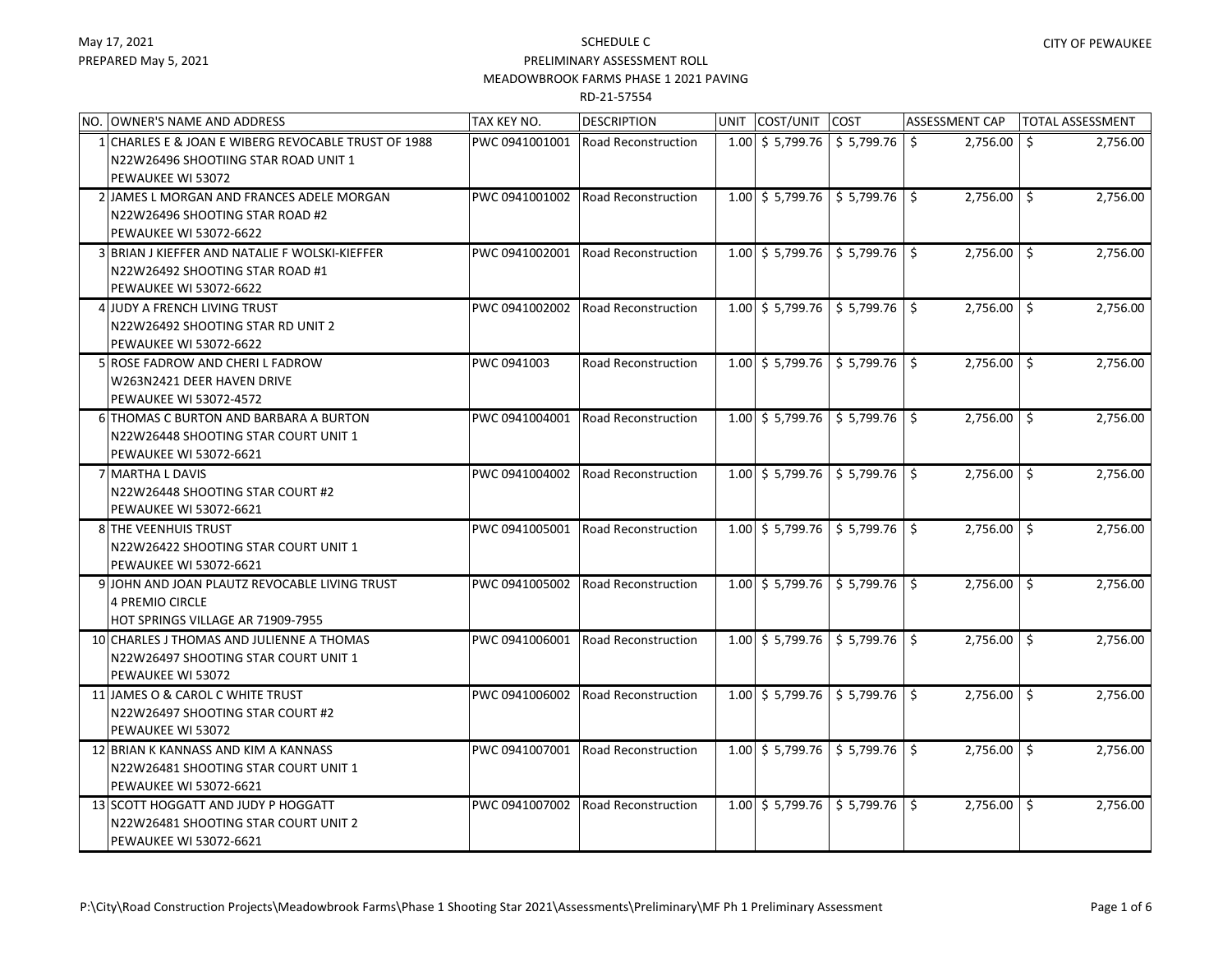| NO. OWNER'S NAME AND ADDRESS                                                                                     | TAX KEY NO.    | <b>DESCRIPTION</b>         | UNIT COST/UNIT                                       | COST                                 | <b>ASSESSMENT CAP</b> | TOTAL ASSESSMENT |
|------------------------------------------------------------------------------------------------------------------|----------------|----------------------------|------------------------------------------------------|--------------------------------------|-----------------------|------------------|
| 1 CHARLES E & JOAN E WIBERG REVOCABLE TRUST OF 1988<br>N22W26496 SHOOTIING STAR ROAD UNIT 1<br>PEWAUKEE WI 53072 | PWC 0941001001 | <b>Road Reconstruction</b> | $1.00$ \$ 5,799.76 \ \$ 5,799.76 \                   |                                      | 2,756.00<br>\$        | 2,756.00<br>S.   |
| 2 JAMES L MORGAN AND FRANCES ADELE MORGAN<br>N22W26496 SHOOTING STAR ROAD #2<br>PEWAUKEE WI 53072-6622           | PWC 0941001002 | <b>Road Reconstruction</b> | $1.00 \div 5,799.76$                                 | $$5,799.76$ $$$                      | $2,756.00$ \$         | 2,756.00         |
| 3 BRIAN J KIEFFER AND NATALIE F WOLSKI-KIEFFER<br>N22W26492 SHOOTING STAR ROAD #1<br>PEWAUKEE WI 53072-6622      | PWC 0941002001 | <b>Road Reconstruction</b> | $1.00 \div 5,799.76$                                 | $\frac{1}{5}$ 5,799.76 $\frac{1}{5}$ | $2,756.00$ \ \$       | 2,756.00         |
| 4 JUDY A FRENCH LIVING TRUST<br>N22W26492 SHOOTING STAR RD UNIT 2<br>PEWAUKEE WI 53072-6622                      | PWC 0941002002 | <b>Road Reconstruction</b> | $1.00 \div 5,799.76$                                 | $$5,799.76$ $$$                      | $2,756.00$   \$       | 2,756.00         |
| 5 ROSE FADROW AND CHERI L FADROW<br>W263N2421 DEER HAVEN DRIVE<br><b>PEWAUKEE WI 53072-4572</b>                  | PWC 0941003    | <b>Road Reconstruction</b> | $1.00 \pm 5.799.76$                                  | $$5,799.76$ $$$                      | $2,756.00$ \$         | 2,756.00         |
| 6 THOMAS C BURTON AND BARBARA A BURTON<br>N22W26448 SHOOTING STAR COURT UNIT 1<br>PEWAUKEE WI 53072-6621         | PWC 0941004001 | <b>Road Reconstruction</b> | $1.00$ \$ 5,799.76 \ \$ 5,799.76 \ \$                |                                      | $2,756.00$ \$         | 2,756.00         |
| <b>7 MARTHA L DAVIS</b><br>N22W26448 SHOOTING STAR COURT #2<br><b>PEWAUKEE WI 53072-6621</b>                     | PWC 0941004002 | <b>Road Reconstruction</b> | $1.00$ \$ 5,799.76 \ \$ 5,799.76 \ \$                |                                      | $2,756.00$ \$         | 2,756.00         |
| 8 THE VEENHUIS TRUST<br>N22W26422 SHOOTING STAR COURT UNIT 1<br>PEWAUKEE WI 53072-6621                           | PWC 0941005001 | <b>Road Reconstruction</b> | $1.00$ \$ 5,799.76 \$ 5,799.76 \$                    |                                      | $2,756.00$ \$         | 2,756.00         |
| 9 JOHN AND JOAN PLAUTZ REVOCABLE LIVING TRUST<br><b>4 PREMIO CIRCLE</b><br>HOT SPRINGS VILLAGE AR 71909-7955     | PWC 0941005002 | <b>Road Reconstruction</b> | $1.00 \div 5,799.76 \div 5,799.76 \div 5$            |                                      | $2,756.00$ \$         | 2,756.00         |
| 10 CHARLES J THOMAS AND JULIENNE A THOMAS<br>N22W26497 SHOOTING STAR COURT UNIT 1<br>PEWAUKEE WI 53072           | PWC 0941006001 | <b>Road Reconstruction</b> | $1.00 \mid$ \$ 5,799.76 $\mid$ \$ 5,799.76 $\mid$ \$ |                                      | $2,756.00$ \$         | 2,756.00         |
| 11 JAMES O & CAROL C WHITE TRUST<br>N22W26497 SHOOTING STAR COURT #2<br>PEWAUKEE WI 53072                        | PWC 0941006002 | <b>Road Reconstruction</b> | $1.00 \div 5,799.76$                                 | \$5,799.76                           | $2,756.00$ \$         | 2,756.00         |
| 12 BRIAN K KANNASS AND KIM A KANNASS<br>N22W26481 SHOOTING STAR COURT UNIT 1<br>PEWAUKEE WI 53072-6621           | PWC 0941007001 | <b>Road Reconstruction</b> | $1.00 \div 5,799.76$                                 | $\frac{1}{2}$ \$ 5,799.76 \$         | $2,756.00$   \$       | 2,756.00         |
| 13 SCOTT HOGGATT AND JUDY P HOGGATT<br>N22W26481 SHOOTING STAR COURT UNIT 2<br>PEWAUKEE WI 53072-6621            | PWC 0941007002 | <b>Road Reconstruction</b> | $1.00 \div 5,799.76$                                 | $$5,799.76$ $$$                      | $2,756.00$ \$         | 2,756.00         |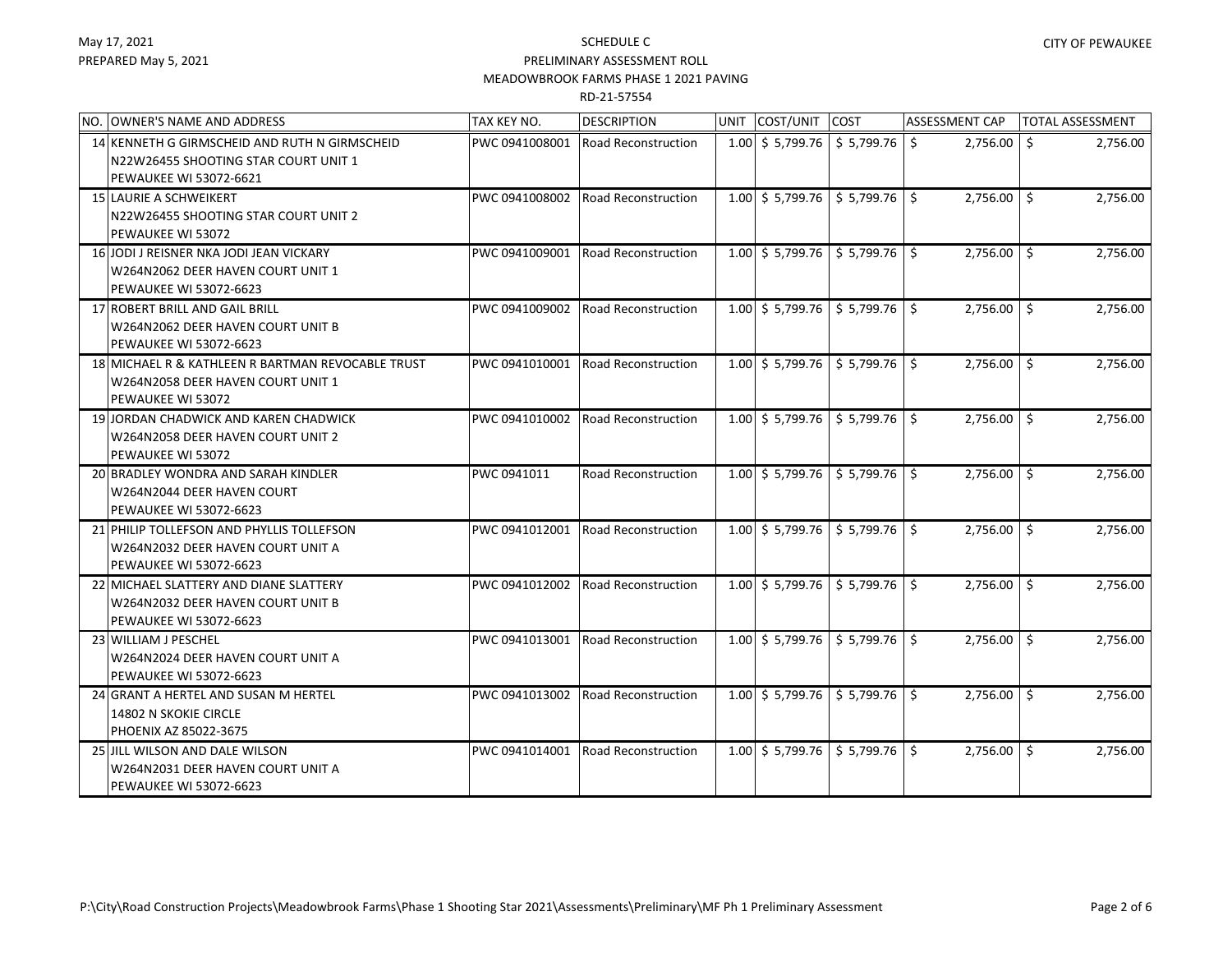| NO. OWNER'S NAME AND ADDRESS                                                                                    | TAX KEY NO.    | <b>DESCRIPTION</b>         | UNIT COST/UNIT            | <b>COST</b>                          | <b>ASSESSMENT CAP</b> | <b>TOTAL ASSESSMENT</b> |
|-----------------------------------------------------------------------------------------------------------------|----------------|----------------------------|---------------------------|--------------------------------------|-----------------------|-------------------------|
| 14 KENNETH G GIRMSCHEID AND RUTH N GIRMSCHEID<br>N22W26455 SHOOTING STAR COURT UNIT 1<br>PEWAUKEE WI 53072-6621 | PWC 0941008001 | Road Reconstruction        | $1.00 \div 5,799.76$      | \$5,799.76                           | S.<br>2,756.00        | Ŝ.<br>2,756.00          |
| 15 LAURIE A SCHWEIKERT<br>N22W26455 SHOOTING STAR COURT UNIT 2<br>PEWAUKEE WI 53072                             | PWC 0941008002 | Road Reconstruction        | $1.00 \mid$ \$ 5,799.76   | $\frac{1}{5}$ 5,799.76 $\frac{1}{5}$ | $2,756.00$ \$         | 2,756.00                |
| 16 JODI J REISNER NKA JODI JEAN VICKARY<br>W264N2062 DEER HAVEN COURT UNIT 1<br><b>PEWAUKEE WI 53072-6623</b>   | PWC 0941009001 | <b>Road Reconstruction</b> | $1.00 \leqslant 5.799.76$ | 5,799.76                             | $2,756.00$ \$         | 2,756.00                |
| 17 ROBERT BRILL AND GAIL BRILL<br>W264N2062 DEER HAVEN COURT UNIT B<br><b>PEWAUKEE WI 53072-6623</b>            | PWC 0941009002 | <b>Road Reconstruction</b> | $1.00 \div 5,799.76$      | \$5,799.76                           | $2,756.00$ \$         | 2,756.00                |
| 18 MICHAEL R & KATHLEEN R BARTMAN REVOCABLE TRUST<br>W264N2058 DEER HAVEN COURT UNIT 1<br>PEWAUKEE WI 53072     | PWC 0941010001 | Road Reconstruction        | $1.00 \div 5,799.76$      | \$5,799.76                           | $2,756.00$ \$         | 2,756.00                |
| 19 JORDAN CHADWICK AND KAREN CHADWICK<br>W264N2058 DEER HAVEN COURT UNIT 2<br>PEWAUKEE WI 53072                 | PWC 0941010002 | <b>Road Reconstruction</b> | $1.00 \div 5,799.76$      | \$5,799.76                           | $2,756.00$ \$         | 2,756.00                |
| 20 BRADLEY WONDRA AND SARAH KINDLER<br>W264N2044 DEER HAVEN COURT<br><b>PEWAUKEE WI 53072-6623</b>              | PWC 0941011    | Road Reconstruction        | $1.00 \pm 5.799.76$       | $$5,799.76$ $$$                      | $2,756.00$ \$         | 2,756.00                |
| 21 PHILIP TOLLEFSON AND PHYLLIS TOLLEFSON<br>W264N2032 DEER HAVEN COURT UNIT A<br><b>PEWAUKEE WI 53072-6623</b> | PWC 0941012001 | <b>Road Reconstruction</b> | $1.00 \pm 5.799.76$       | \$5,799.76                           | $2,756.00$ \$         | 2,756.00                |
| 22 MICHAEL SLATTERY AND DIANE SLATTERY<br>W264N2032 DEER HAVEN COURT UNIT B<br><b>PEWAUKEE WI 53072-6623</b>    | PWC 0941012002 | <b>Road Reconstruction</b> | $1.00 \mid$ \$ 5,799.76   | \$5,799.76                           | $2,756.00$ \$         | 2,756.00                |
| 23 WILLIAM J PESCHEL<br>W264N2024 DEER HAVEN COURT UNIT A<br>PEWAUKEE WI 53072-6623                             | PWC 0941013001 | <b>Road Reconstruction</b> | $1.00 \div 5,799.76$      | $$5,799.76$ $$$                      | 2,756.00 \$           | 2,756.00                |
| 24 GRANT A HERTEL AND SUSAN M HERTEL<br>14802 N SKOKIE CIRCLE<br>PHOENIX AZ 85022-3675                          | PWC 0941013002 | <b>Road Reconstruction</b> | $1.00 \div 5,799.76$      | \$5,799.76                           | $2,756.00$ \$         | 2,756.00                |
| 25 JILL WILSON AND DALE WILSON<br>W264N2031 DEER HAVEN COURT UNIT A<br>PEWAUKEE WI 53072-6623                   | PWC 0941014001 | Road Reconstruction        | $1.00 \leqslant 5,799.76$ | \$5,799.76                           | $2,756.00$ \$         | 2,756.00                |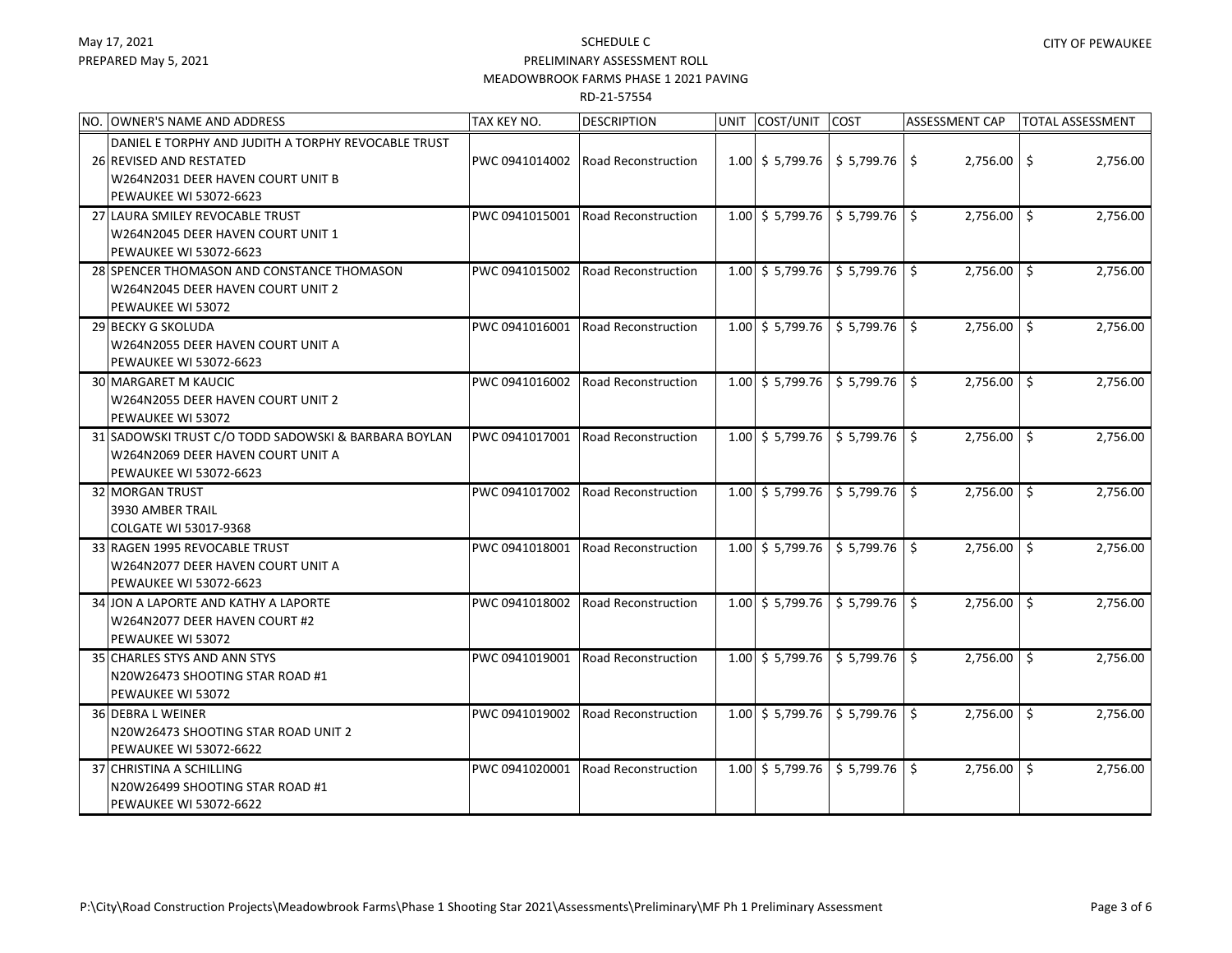#### SCHEDULE C PRELIMINARY ASSESSMENT ROLL

### MEADOWBROOK FARMS PHASE 1 2021 PAVING

| NO.<br><b>OWNER'S NAME AND ADDRESS</b>                                                                                                               | TAX KEY NO.    | <b>DESCRIPTION</b>         | UNIT COST/UNIT                                       | <b>COST</b> | <b>ASSESSMENT CAP</b> | TOTAL ASSESSMENT |
|------------------------------------------------------------------------------------------------------------------------------------------------------|----------------|----------------------------|------------------------------------------------------|-------------|-----------------------|------------------|
| DANIEL E TORPHY AND JUDITH A TORPHY REVOCABLE TRUST<br>26 REVISED AND RESTATED<br>W264N2031 DEER HAVEN COURT UNIT B<br><b>PEWAUKEE WI 53072-6623</b> | PWC 0941014002 | <b>Road Reconstruction</b> | $1.00$ \$ 5,799.76 \$ 5,799.76 \$                    |             | $2,756.00$ \$         | 2,756.00         |
| 27 LAURA SMILEY REVOCABLE TRUST<br>W264N2045 DEER HAVEN COURT UNIT 1<br><b>PEWAUKEE WI 53072-6623</b>                                                | PWC 0941015001 | Road Reconstruction        | $1.00$ \$ 5,799.76 \$ 5,799.76 \$                    |             | $2,756.00$ \$         | 2,756.00         |
| 28 SPENCER THOMASON AND CONSTANCE THOMASON<br>W264N2045 DEER HAVEN COURT UNIT 2<br>PEWAUKEE WI 53072                                                 | PWC 0941015002 | <b>Road Reconstruction</b> | $1.00 \mid$ \$ 5,799.76 $\mid$ \$ 5,799.76 $\mid$ \$ |             | $2,756.00$ \$         | 2,756.00         |
| 29 BECKY G SKOLUDA<br>W264N2055 DEER HAVEN COURT UNIT A<br>PEWAUKEE WI 53072-6623                                                                    | PWC 0941016001 | <b>Road Reconstruction</b> | $1.00 \div 5,799.76 \div 5,799.76 \div 5$            |             | $2,756.00$ \$         | 2,756.00         |
| <b>30 MARGARET M KAUCIC</b><br>W264N2055 DEER HAVEN COURT UNIT 2<br>PEWAUKEE WI 53072                                                                | PWC 0941016002 | <b>Road Reconstruction</b> | $1.00$ \$ 5,799.76 \$ 5,799.76 \$                    |             | $2,756.00$   \$       | 2,756.00         |
| 31 SADOWSKI TRUST C/O TODD SADOWSKI & BARBARA BOYLAN<br>W264N2069 DEER HAVEN COURT UNIT A<br>PEWAUKEE WI 53072-6623                                  | PWC 0941017001 | <b>Road Reconstruction</b> | $1.00 \div 5,799.76$                                 | 5,799.76    | $2,756.00$   \$       | 2,756.00         |
| 32 MORGAN TRUST<br>3930 AMBER TRAIL<br>COLGATE WI 53017-9368                                                                                         | PWC 0941017002 | <b>Road Reconstruction</b> | $1.00$ \$ 5,799.76 \$ 5,799.76 \$                    |             | $2,756.00$ \$         | 2,756.00         |
| 33 RAGEN 1995 REVOCABLE TRUST<br>W264N2077 DEER HAVEN COURT UNIT A<br>PEWAUKEE WI 53072-6623                                                         | PWC 0941018001 | Road Reconstruction        | $1.00 \mid$ \$ 5,799.76                              | \$5,799.76  | $2,756.00$ \$         | 2,756.00         |
| 34 JON A LAPORTE AND KATHY A LAPORTE<br>W264N2077 DEER HAVEN COURT #2<br>PEWAUKEE WI 53072                                                           | PWC 0941018002 | <b>Road Reconstruction</b> | $1.00 \mid$ \$ 5,799.76 $\mid$ \$ 5,799.76 $\mid$ \$ |             | $2,756.00$ \$         | 2,756.00         |
| 35 CHARLES STYS AND ANN STYS<br>N20W26473 SHOOTING STAR ROAD #1<br>PEWAUKEE WI 53072                                                                 | PWC 0941019001 | <b>Road Reconstruction</b> | $1.00$ \$ 5,799.76 \$ 5,799.76 \$                    |             | 2,756.00 \$           | 2,756.00         |
| 36 DEBRA L WEINER<br>N20W26473 SHOOTING STAR ROAD UNIT 2<br><b>PEWAUKEE WI 53072-6622</b>                                                            | PWC 0941019002 | Road Reconstruction        | $1.00 \div 5,799.76 \div 5,799.76 \div 5$            |             | $2,756.00$ \$         | 2,756.00         |
| 37 CHRISTINA A SCHILLING<br>N20W26499 SHOOTING STAR ROAD #1<br><b>PEWAUKEE WI 53072-6622</b>                                                         | PWC 0941020001 | <b>Road Reconstruction</b> | $1.00 \div 5,799.76$                                 | \$5,799.76  | $2,756.00$ \$         | 2,756.00         |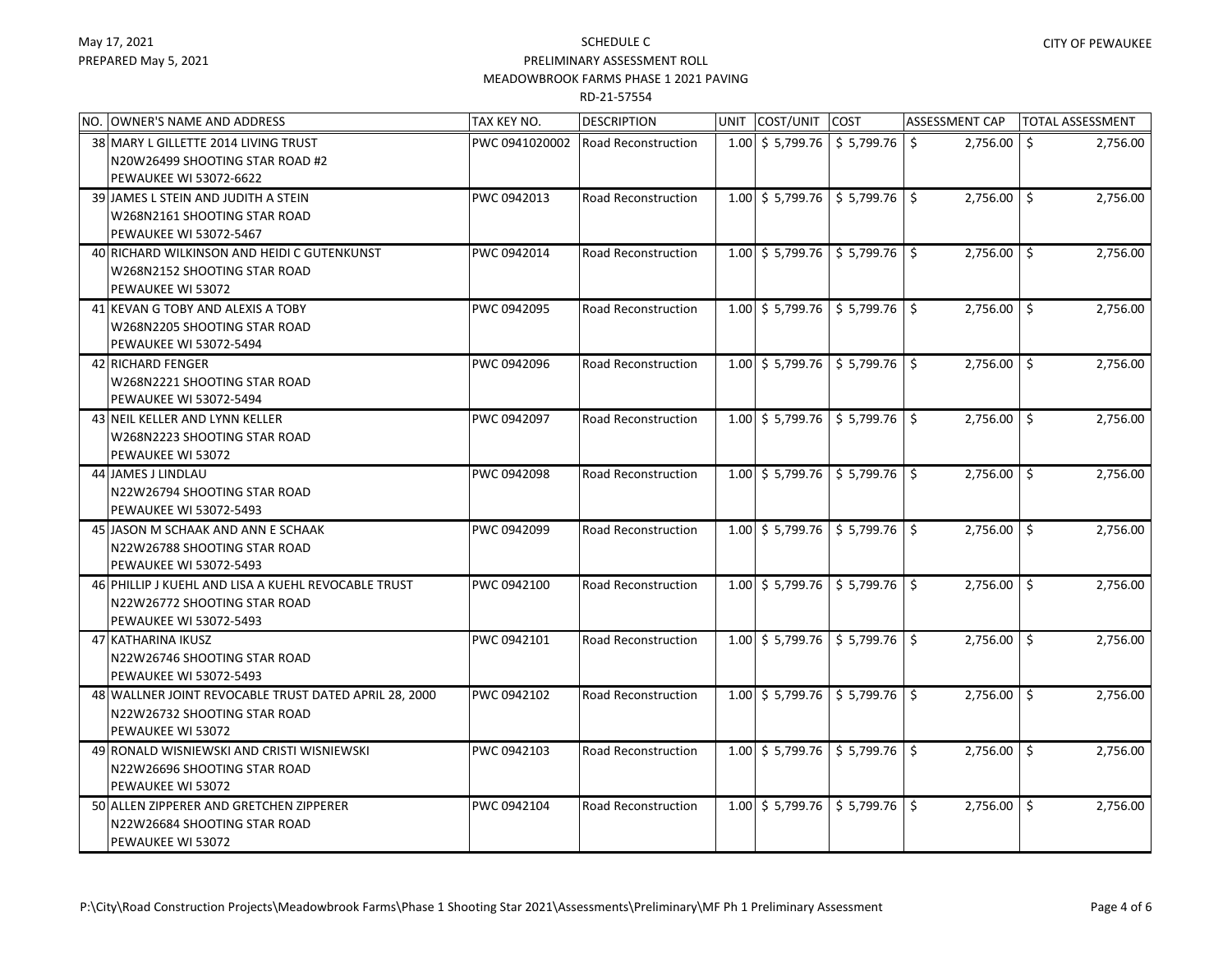| NO. OWNER'S NAME AND ADDRESS                          | TAX KEY NO.    | <b>DESCRIPTION</b>         | UNIT COST/UNIT COST  |                                                         | <b>ASSESSMENT CAP</b> | <b>TOTAL ASSESSMENT</b> |          |
|-------------------------------------------------------|----------------|----------------------------|----------------------|---------------------------------------------------------|-----------------------|-------------------------|----------|
| 38 MARY L GILLETTE 2014 LIVING TRUST                  | PWC 0941020002 | <b>Road Reconstruction</b> |                      | $1.00 \mid$ \$ 5,799.76 $\mid$ \$ 5,799.76              | 2,756.00<br>\$        | Ŝ.                      | 2,756.00 |
| N20W26499 SHOOTING STAR ROAD #2                       |                |                            |                      |                                                         |                       |                         |          |
| PEWAUKEE WI 53072-6622                                |                |                            |                      |                                                         |                       |                         |          |
| 39 JAMES L STEIN AND JUDITH A STEIN                   | PWC 0942013    | <b>Road Reconstruction</b> | $1.00 \div 5,799.76$ | \$5,799.76                                              | $2,756.00$ \$         |                         | 2,756.00 |
| W268N2161 SHOOTING STAR ROAD                          |                |                            |                      |                                                         |                       |                         |          |
| PEWAUKEE WI 53072-5467                                |                |                            |                      |                                                         |                       |                         |          |
| 40 RICHARD WILKINSON AND HEIDI C GUTENKUNST           | PWC 0942014    | <b>Road Reconstruction</b> |                      | $1.00 \div 5,799.76 \div 5,799.76$ \$                   | $2,756.00$ \ \$       |                         | 2,756.00 |
| W268N2152 SHOOTING STAR ROAD                          |                |                            |                      |                                                         |                       |                         |          |
| PEWAUKEE WI 53072                                     |                |                            |                      |                                                         |                       |                         |          |
| 41 KEVAN G TOBY AND ALEXIS A TOBY                     | PWC 0942095    | <b>Road Reconstruction</b> | $1.00 \div 5,799.76$ | \$5,799.76                                              | $2,756.00$ \$         |                         | 2,756.00 |
| W268N2205 SHOOTING STAR ROAD                          |                |                            |                      |                                                         |                       |                         |          |
| PEWAUKEE WI 53072-5494                                |                |                            |                      |                                                         |                       |                         |          |
| 42 RICHARD FENGER                                     | PWC 0942096    | <b>Road Reconstruction</b> | $1.00 \div 5,799.76$ | $$5,799.76$ $$$                                         | $2,756.00$ \$         |                         | 2,756.00 |
| W268N2221 SHOOTING STAR ROAD                          |                |                            |                      |                                                         |                       |                         |          |
| PEWAUKEE WI 53072-5494                                |                |                            |                      |                                                         |                       |                         |          |
| 43 NEIL KELLER AND LYNN KELLER                        | PWC 0942097    | <b>Road Reconstruction</b> |                      | $1.00$ \$ 5,799.76 \$ 5,799.76 \$                       | $2,756.00$ \$         |                         | 2,756.00 |
| W268N2223 SHOOTING STAR ROAD                          |                |                            |                      |                                                         |                       |                         |          |
| PEWAUKEE WI 53072                                     |                |                            |                      |                                                         |                       |                         |          |
| 44 JAMES J LINDLAU                                    | PWC 0942098    | <b>Road Reconstruction</b> |                      | $1.00$ \$ 5,799.76 \$ 5,799.76 \$                       | $2,756.00$ \ \$       |                         | 2,756.00 |
| N22W26794 SHOOTING STAR ROAD                          |                |                            |                      |                                                         |                       |                         |          |
| <b>PEWAUKEE WI 53072-5493</b>                         |                |                            |                      |                                                         |                       |                         |          |
| 45 JJASON M SCHAAK AND ANN E SCHAAK                   | PWC 0942099    | <b>Road Reconstruction</b> |                      | $1.00$ \$ 5,799.76 \$ 5,799.76 \$                       | $2,756.00$ \$         |                         | 2,756.00 |
| N22W26788 SHOOTING STAR ROAD                          |                |                            |                      |                                                         |                       |                         |          |
| PEWAUKEE WI 53072-5493                                |                |                            |                      |                                                         |                       |                         |          |
| 46 PHILLIP J KUEHL AND LISA A KUEHL REVOCABLE TRUST   | PWC 0942100    | <b>Road Reconstruction</b> |                      | $1.00$ \$ 5,799.76 \$ 5,799.76 \$                       | $2,756.00$ \$         |                         | 2,756.00 |
| N22W26772 SHOOTING STAR ROAD                          |                |                            |                      |                                                         |                       |                         |          |
| PEWAUKEE WI 53072-5493                                |                |                            |                      |                                                         |                       |                         |          |
| 47 KATHARINA IKUSZ                                    | PWC 0942101    | Road Reconstruction        |                      | $1.00$ \$ 5,799.76 \$ 5,799.76 \$                       | $2,756.00$ \$         |                         | 2,756.00 |
| N22W26746 SHOOTING STAR ROAD                          |                |                            |                      |                                                         |                       |                         |          |
| PEWAUKEE WI 53072-5493                                |                |                            |                      |                                                         |                       |                         |          |
| 48 WALLNER JOINT REVOCABLE TRUST DATED APRIL 28, 2000 | PWC 0942102    | Road Reconstruction        | $1.00 \div 5,799.76$ | \$5,799.76                                              | $2,756.00$ \$         |                         | 2,756.00 |
| N22W26732 SHOOTING STAR ROAD                          |                |                            |                      |                                                         |                       |                         |          |
| PEWAUKEE WI 53072                                     |                |                            |                      |                                                         |                       |                         |          |
| 49 RONALD WISNIEWSKI AND CRISTI WISNIEWSKI            | PWC 0942103    | Road Reconstruction        |                      | $1.00 \div 5,799.76 \div 5,799.76 \div 5$               | $2,756.00$ \$         |                         | 2,756.00 |
| N22W26696 SHOOTING STAR ROAD                          |                |                            |                      |                                                         |                       |                         |          |
| PEWAUKEE WI 53072                                     |                |                            |                      |                                                         |                       |                         |          |
| 50 ALLEN ZIPPERER AND GRETCHEN ZIPPERER               | PWC 0942104    | <b>Road Reconstruction</b> |                      | 1.00 $\vert$ \$ 5,799.76 $\vert$ \$ 5,799.76 $\vert$ \$ | 2,756.00 \$           |                         | 2,756.00 |
| N22W26684 SHOOTING STAR ROAD                          |                |                            |                      |                                                         |                       |                         |          |
| PEWAUKEE WI 53072                                     |                |                            |                      |                                                         |                       |                         |          |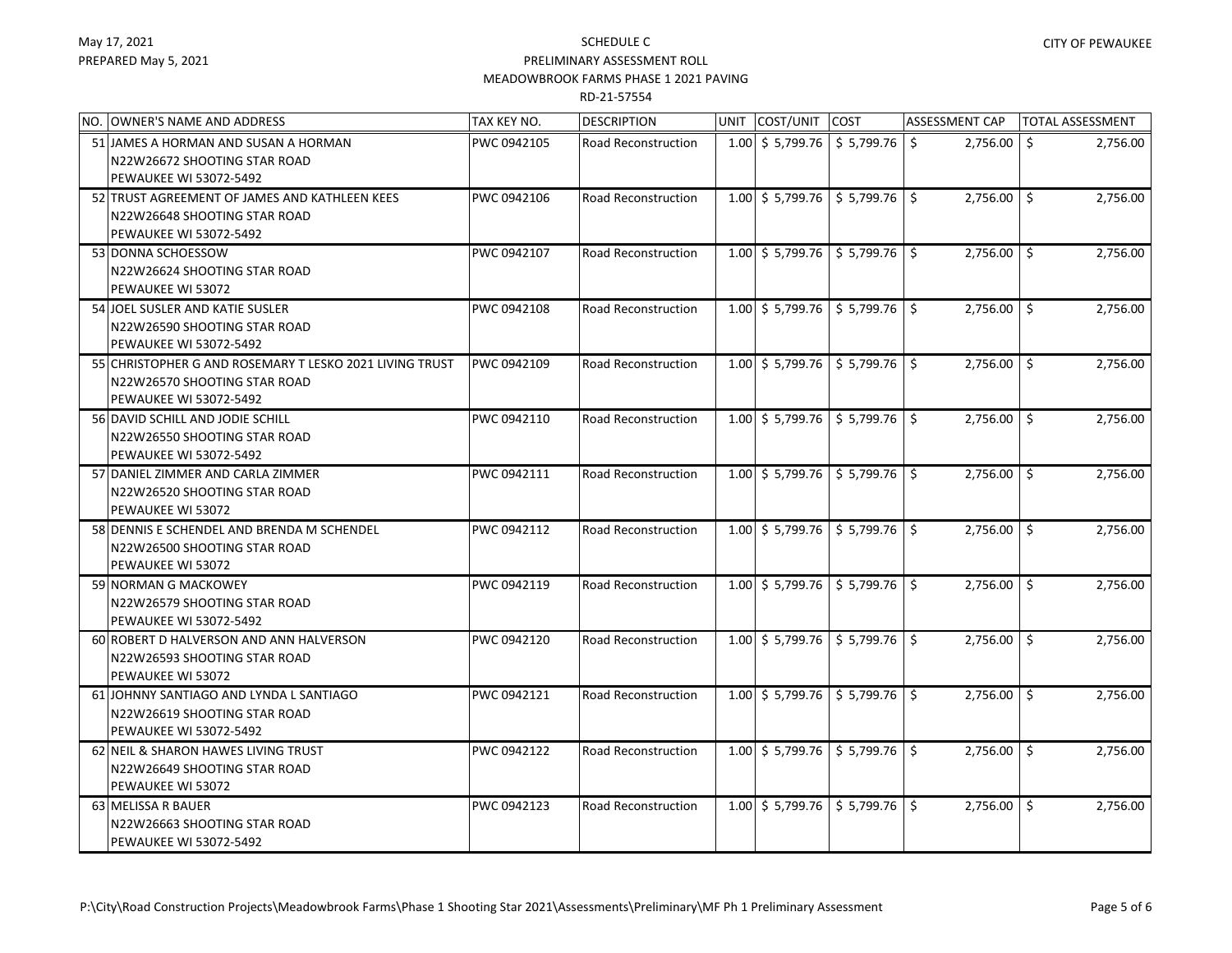| NO. OWNER'S NAME AND ADDRESS                            | TAX KEY NO. | <b>DESCRIPTION</b>         | UNIT COST/UNIT COST  |                                                         | ASSESSMENT CAP | <b>TOTAL ASSESSMENT</b> |
|---------------------------------------------------------|-------------|----------------------------|----------------------|---------------------------------------------------------|----------------|-------------------------|
| 51 JAMES A HORMAN AND SUSAN A HORMAN                    | PWC 0942105 | <b>Road Reconstruction</b> |                      | $1.00$ \$ 5,799.76 \$ 5,799.76 \$                       | 2,756.00       | Ŝ.<br>2,756.00          |
| N22W26672 SHOOTING STAR ROAD                            |             |                            |                      |                                                         |                |                         |
| PEWAUKEE WI 53072-5492                                  |             |                            |                      |                                                         |                |                         |
| 52 TRUST AGREEMENT OF JAMES AND KATHLEEN KEES           | PWC 0942106 | <b>Road Reconstruction</b> |                      | $1.00 \div 5,799.76 \div 5,799.76 \div 5$               | $2,756.00$ \$  | 2,756.00                |
| N22W26648 SHOOTING STAR ROAD                            |             |                            |                      |                                                         |                |                         |
| PEWAUKEE WI 53072-5492                                  |             |                            |                      |                                                         |                |                         |
| 53 DONNA SCHOESSOW                                      | PWC 0942107 | Road Reconstruction        |                      | $1.00$ \$ 5,799.76 \$ 5,799.76 \$                       | $2,756.00$ \$  | 2,756.00                |
| N22W26624 SHOOTING STAR ROAD                            |             |                            |                      |                                                         |                |                         |
| PEWAUKEE WI 53072                                       |             |                            |                      |                                                         |                |                         |
| 54 JOEL SUSLER AND KATIE SUSLER                         | PWC 0942108 | <b>Road Reconstruction</b> |                      | 1.00 $\vert$ \$ 5,799.76 $\vert$ \$ 5,799.76 $\vert$ \$ | $2,756.00$ \$  | 2,756.00                |
| N22W26590 SHOOTING STAR ROAD                            |             |                            |                      |                                                         |                |                         |
| PEWAUKEE WI 53072-5492                                  |             |                            |                      |                                                         |                |                         |
| 55 CHRISTOPHER G AND ROSEMARY T LESKO 2021 LIVING TRUST | PWC 0942109 | <b>Road Reconstruction</b> |                      | $1.00$ \$ 5,799.76 \$ 5,799.76 \$                       | $2,756.00$ \$  | 2,756.00                |
| N22W26570 SHOOTING STAR ROAD                            |             |                            |                      |                                                         |                |                         |
| PEWAUKEE WI 53072-5492                                  |             |                            |                      |                                                         |                |                         |
| 56 DAVID SCHILL AND JODIE SCHILL                        | PWC 0942110 | <b>Road Reconstruction</b> |                      | 1.00 $\vert$ \$ 5,799.76 $\vert$ \$ 5,799.76 $\vert$ \$ | $2,756.00$ \$  | 2,756.00                |
| N22W26550 SHOOTING STAR ROAD                            |             |                            |                      |                                                         |                |                         |
| PEWAUKEE WI 53072-5492                                  |             |                            |                      |                                                         |                |                         |
| 57 DANIEL ZIMMER AND CARLA ZIMMER                       | PWC 0942111 | Road Reconstruction        |                      | $1.00 \div 5,799.76 \div 5,799.76 \div 5$               | $2,756.00$ \$  | 2,756.00                |
| N22W26520 SHOOTING STAR ROAD<br>PEWAUKEE WI 53072       |             |                            |                      |                                                         |                |                         |
| 58 DENNIS E SCHENDEL AND BRENDA M SCHENDEL              | PWC 0942112 | Road Reconstruction        |                      | $1.00$ \$ 5,799.76   \$ 5,799.76   \$                   |                |                         |
| N22W26500 SHOOTING STAR ROAD                            |             |                            |                      |                                                         | $2,756.00$ \$  | 2,756.00                |
| PEWAUKEE WI 53072                                       |             |                            |                      |                                                         |                |                         |
| 59 NORMAN G MACKOWEY                                    | PWC 0942119 | <b>Road Reconstruction</b> |                      | $1.00 \mid 5$ 5,799.76   \$ 5,799.76   \$               | $2,756.00$ \$  | 2,756.00                |
| N22W26579 SHOOTING STAR ROAD                            |             |                            |                      |                                                         |                |                         |
| PEWAUKEE WI 53072-5492                                  |             |                            |                      |                                                         |                |                         |
| 60 ROBERT D HALVERSON AND ANN HALVERSON                 | PWC 0942120 | Road Reconstruction        |                      | $1.00$ \$ 5,799.76 \$ 5,799.76 \$                       | $2,756.00$ \$  | 2,756.00                |
| N22W26593 SHOOTING STAR ROAD                            |             |                            |                      |                                                         |                |                         |
| PEWAUKEE WI 53072                                       |             |                            |                      |                                                         |                |                         |
| 61 JOHNNY SANTIAGO AND LYNDA L SANTIAGO                 | PWC 0942121 | <b>Road Reconstruction</b> | $1.00 \div 5,799.76$ | 5,799.76                                                | $2,756.00$ \$  | 2,756.00                |
| N22W26619 SHOOTING STAR ROAD                            |             |                            |                      |                                                         |                |                         |
| PEWAUKEE WI 53072-5492                                  |             |                            |                      |                                                         |                |                         |
| 62 NEIL & SHARON HAWES LIVING TRUST                     | PWC 0942122 | Road Reconstruction        | $1.00 \div 5,799.76$ | $\frac{1}{5}$ 5,799.76 \$                               | 2,756.00 \$    | 2,756.00                |
| N22W26649 SHOOTING STAR ROAD                            |             |                            |                      |                                                         |                |                         |
| PEWAUKEE WI 53072                                       |             |                            |                      |                                                         |                |                         |
| 63 MELISSA R BAUER                                      | PWC 0942123 | Road Reconstruction        |                      | $1.00$ \$ 5,799.76 \$ 5,799.76 \$                       | $2,756.00$ \$  | 2,756.00                |
| N22W26663 SHOOTING STAR ROAD                            |             |                            |                      |                                                         |                |                         |
| PEWAUKEE WI 53072-5492                                  |             |                            |                      |                                                         |                |                         |